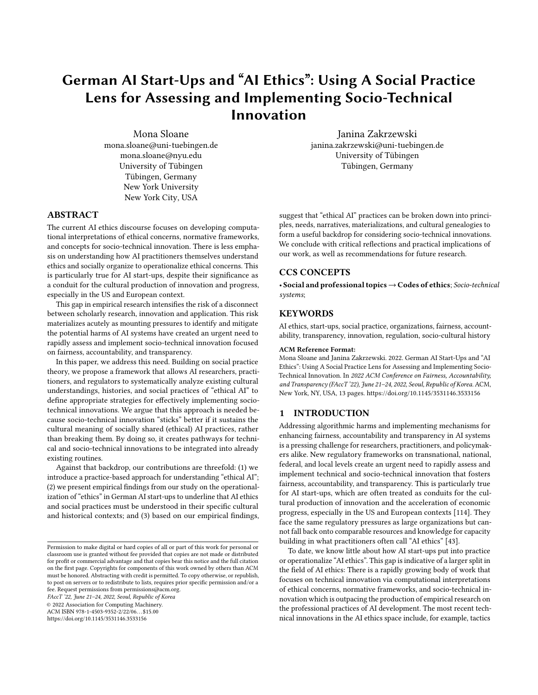# German AI Start-Ups and "AI Ethics": Using A Social Practice Lens for Assessing and Implementing Socio-Technical Innovation

[Mona Sloane](https://orcid.org/1234-5678-9012) mona.sloane@uni-tuebingen.de mona.sloane@nyu.edu University of Tübingen Tübingen, Germany New York University New York City, USA

# ABSTRACT

The current AI ethics discourse focuses on developing computational interpretations of ethical concerns, normative frameworks, and concepts for socio-technical innovation. There is less emphasis on understanding how AI practitioners themselves understand ethics and socially organize to operationalize ethical concerns. This is particularly true for AI start-ups, despite their significance as a conduit for the cultural production of innovation and progress, especially in the US and European context.

This gap in empirical research intensifies the risk of a disconnect between scholarly research, innovation and application. This risk materializes acutely as mounting pressures to identify and mitigate the potential harms of AI systems have created an urgent need to rapidly assess and implement socio-technical innovation focused on fairness, accountability, and transparency.

In this paper, we address this need. Building on social practice theory, we propose a framework that allows AI researchers, practitioners, and regulators to systematically analyze existing cultural understandings, histories, and social practices of "ethical AI" to define appropriate strategies for effectively implementing sociotechnical innovations. We argue that this approach is needed because socio-technical innovation "sticks" better if it sustains the cultural meaning of socially shared (ethical) AI practices, rather than breaking them. By doing so, it creates pathways for technical and socio-technical innovations to be integrated into already existing routines.

Against that backdrop, our contributions are threefold: (1) we introduce a practice-based approach for understanding "ethical AI"; (2) we present empirical findings from our study on the operationalization of "ethics" in German AI start-ups to underline that AI ethics and social practices must be understood in their specific cultural and historical contexts; and (3) based on our empirical findings,

FAccT '22, June 21–24, 2022, Seoul, Republic of Korea

© 2022 Association for Computing Machinery.

ACM ISBN 978-1-4503-9352-2/22/06. . . \$15.00

<https://doi.org/10.1145/3531146.3533156>

Janina Zakrzewski janina.zakrzewski@uni-tuebingen.de University of Tübingen Tübingen, Germany

suggest that "ethical AI" practices can be broken down into principles, needs, narratives, materializations, and cultural genealogies to form a useful backdrop for considering socio-technical innovations. We conclude with critical reflections and practical implications of our work, as well as recommendations for future research.

# CCS CONCEPTS

• Social and professional topics→Codes of ethics; Socio-technical systems;

# **KEYWORDS**

AI ethics, start-ups, social practice, organizations, fairness, accountability, transparency, innovation, regulation, socio-cultural history

#### ACM Reference Format:

Mona Sloane and Janina Zakrzewski. 2022. German AI Start-Ups and "AI Ethics": Using A Social Practice Lens for Assessing and Implementing Socio-Technical Innovation. In 2022 ACM Conference on Fairness, Accountability, and Transparency (FAccT '22), June 21–24, 2022, Seoul, Republic of Korea. ACM, New York, NY, USA, [13](#page-12-0) pages.<https://doi.org/10.1145/3531146.3533156>

### 1 INTRODUCTION

Addressing algorithmic harms and implementing mechanisms for enhancing fairness, accountability and transparency in AI systems is a pressing challenge for researchers, practitioners, and policymakers alike. New regulatory frameworks on transnational, national, federal, and local levels create an urgent need to rapidly assess and implement technical and socio-technical innovation that fosters fairness, accountability, and transparency. This is particularly true for AI start-ups, which are often treated as conduits for the cultural production of innovation and the acceleration of economic progress, especially in the US and European contexts [\[114\]](#page-12-1). They face the same regulatory pressures as large organizations but cannot fall back onto comparable resources and knowledge for capacity building in what practitioners often call "AI ethics" [\[43\]](#page-10-0).

To date, we know little about how AI start-ups put into practice or operationalize "AI ethics". This gap is indicative of a larger split in the field of AI ethics: There is a rapidly growing body of work that focuses on technical innovation via computational interpretations of ethical concerns, normative frameworks, and socio-technical innovation which is outpacing the production of empirical research on the professional practices of AI development. The most recent technical innovations in the AI ethics space include, for example, tactics

Permission to make digital or hard copies of all or part of this work for personal or classroom use is granted without fee provided that copies are not made or distributed for profit or commercial advantage and that copies bear this notice and the full citation on the first page. Copyrights for components of this work owned by others than ACM must be honored. Abstracting with credit is permitted. To copy otherwise, or republish, to post on servers or to redistribute to lists, requires prior specific permission and/or a fee. Request permissions from permissions@acm.org.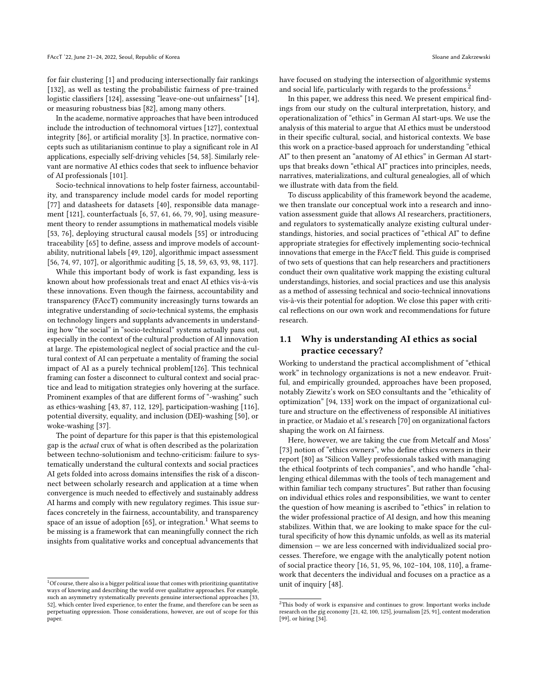for fair clustering [\[1\]](#page-9-0) and producing intersectionally fair rankings [\[132\]](#page-12-2), as well as testing the probabilistic fairness of pre-trained logistic classifiers [\[124\]](#page-12-3), assessing "leave-one-out unfairness" [\[14\]](#page-10-1), or measuring robustness bias [\[82\]](#page-11-0), among many others.

In the academe, normative approaches that have been introduced include the introduction of technomoral virtues [\[127\]](#page-12-4), contextual integrity [\[86\]](#page-11-1), or artificial morality [\[3\]](#page-9-1). In practice, normative concepts such as utilitarianism continue to play a significant role in AI applications, especially self-driving vehicles [\[54,](#page-10-2) [58\]](#page-11-2). Similarly relevant are normative AI ethics codes that seek to influence behavior of AI professionals [\[101\]](#page-12-5).

Socio-technical innovations to help foster fairness, accountability, and transparency include model cards for model reporting [\[77\]](#page-11-3) and datasheets for datasets [\[40\]](#page-10-3), responsible data management [\[121\]](#page-12-6), counterfactuals [\[6,](#page-10-4) [57,](#page-11-4) [61,](#page-11-5) [66,](#page-11-6) [79,](#page-11-7) [90\]](#page-11-8), using measurement theory to render assumptions in mathematical models visible [\[53,](#page-10-5) [76\]](#page-11-9), deploying structural causal models [\[55\]](#page-10-6) or introducing traceability [\[65\]](#page-11-10) to define, assess and improve models of accountability, nutritional labels [\[49,](#page-10-7) [120\]](#page-12-7), algorithmic impact assessment [\[56,](#page-11-11) [74,](#page-11-12) [97,](#page-12-8) [107\]](#page-12-9), or algorithmic auditing [\[5,](#page-10-8) [18,](#page-10-9) [59,](#page-11-13) [63,](#page-11-14) [93,](#page-11-15) [98,](#page-12-10) [117\]](#page-12-11).

While this important body of work is fast expanding, less is known about how professionals treat and enact AI ethics vis-à-vis these innovations. Even though the fairness, accountability and transparency (FAccT) community increasingly turns towards an integrative understanding of socio-technical systems, the emphasis on technology lingers and supplants advancements in understanding how "the social" in "socio-technical" systems actually pans out, especially in the context of the cultural production of AI innovation at large. The epistemological neglect of social practice and the cultural context of AI can perpetuate a mentality of framing the social impact of AI as a purely technical problem[\[126\]](#page-12-12). This technical framing can foster a disconnect to cultural context and social practice and lead to mitigation strategies only hovering at the surface. Prominent examples of that are different forms of "-washing" such as ethics-washing [\[43,](#page-10-0) [87,](#page-11-16) [112,](#page-12-13) [129\]](#page-12-14), participation-washing [\[116\]](#page-12-15), potential diversity, equality, and inclusion (DEI)-washing [\[50\]](#page-10-10), or woke-washing [\[37\]](#page-10-11).

The point of departure for this paper is that this epistemological gap is the actual crux of what is often described as the polarization between techno-solutionism and techno-criticism: failure to systematically understand the cultural contexts and social practices AI gets folded into across domains intensifies the risk of a disconnect between scholarly research and application at a time when convergence is much needed to effectively and sustainably address AI harms and comply with new regulatory regimes. This issue surfaces concretely in the fairness, accountability, and transparency space of an issue of adoption  $[65]$ , or integration.<sup>[1](#page-1-0)</sup> What seems to be missing is a framework that can meaningfully connect the rich insights from qualitative works and conceptual advancements that

<span id="page-1-0"></span> $^1 {\rm Of}$  course, there also is a bigger political issue that comes with prioritizing quantitative ways of knowing and describing the world over qualitative approaches. For example, such an asymmetry systematically prevents genuine intersectional approaches [\[33,](#page-10-12) [52\]](#page-10-13), which center lived experience, to enter the frame, and therefore can be seen as perpetuating oppression. Those considerations, however, are out of scope for this paper.

have focused on studying the intersection of algorithmic systems and social life, particularly with regards to the professions.<sup>[2](#page-1-1)</sup>

In this paper, we address this need. We present empirical findings from our study on the cultural interpretation, history, and operationalization of "ethics" in German AI start-ups. We use the analysis of this material to argue that AI ethics must be understood in their specific cultural, social, and historical contexts. We base this work on a practice-based approach for understanding "ethical AI" to then present an "anatomy of AI ethics" in German AI startups that breaks down "ethical AI" practices into principles, needs, narratives, materializations, and cultural genealogies, all of which we illustrate with data from the field.

To discuss applicability of this framework beyond the academe, we then translate our conceptual work into a research and innovation assessment guide that allows AI researchers, practitioners, and regulators to systematically analyze existing cultural understandings, histories, and social practices of "ethical AI" to define appropriate strategies for effectively implementing socio-technical innovations that emerge in the FAccT field. This guide is comprised of two sets of questions that can help researchers and practitioners conduct their own qualitative work mapping the existing cultural understandings, histories, and social practices and use this analysis as a method of assessing technical and socio-technical innovations vis-à-vis their potential for adoption. We close this paper with critical reflections on our own work and recommendations for future research.

# 1.1 Why is understanding AI ethics as social practice cecessary?

Working to understand the practical accomplishment of "ethical work" in technology organizations is not a new endeavor. Fruitful, and empirically grounded, approaches have been proposed, notably Ziewitz's work on SEO consultants and the "ethicality of optimization" [\[94,](#page-11-17) [133\]](#page-12-16) work on the impact of organizational culture and structure on the effectiveness of responsible AI initiatives in practice, or Madaio et al.'s research [\[70\]](#page-11-18) on organizational factors shaping the work on AI fairness.

Here, however, we are taking the cue from Metcalf and Moss' [\[73\]](#page-11-19) notion of "ethics owners", who define ethics owners in their report [\[80\]](#page-11-20) as "Silicon Valley professionals tasked with managing the ethical footprints of tech companies", and who handle "challenging ethical dilemmas with the tools of tech management and within familiar tech company structures". But rather than focusing on individual ethics roles and responsibilities, we want to center the question of how meaning is ascribed to "ethics" in relation to the wider professional practice of AI design, and how this meaning stabilizes. Within that, we are looking to make space for the cultural specificity of how this dynamic unfolds, as well as its material dimension — we are less concerned with individualized social processes. Therefore, we engage with the analytically potent notion of social practice theory [\[16,](#page-10-14) [51,](#page-10-15) [95,](#page-11-21) [96,](#page-12-17) [102–](#page-12-18)[104,](#page-12-19) [108,](#page-12-20) [110\]](#page-12-21), a framework that decenters the individual and focuses on a practice as a unit of inquiry [\[48\]](#page-10-16).

<span id="page-1-1"></span> $^2 \mathrm{This}$  body of work is expansive and continues to grow. Important works include research on the gig economy [\[21,](#page-10-17) [42,](#page-10-18) [100,](#page-12-22) [125\]](#page-12-23), journalism [\[25,](#page-10-19) [91\]](#page-11-22), content moderation [\[99\]](#page-12-24), or hiring [\[34\]](#page-10-20).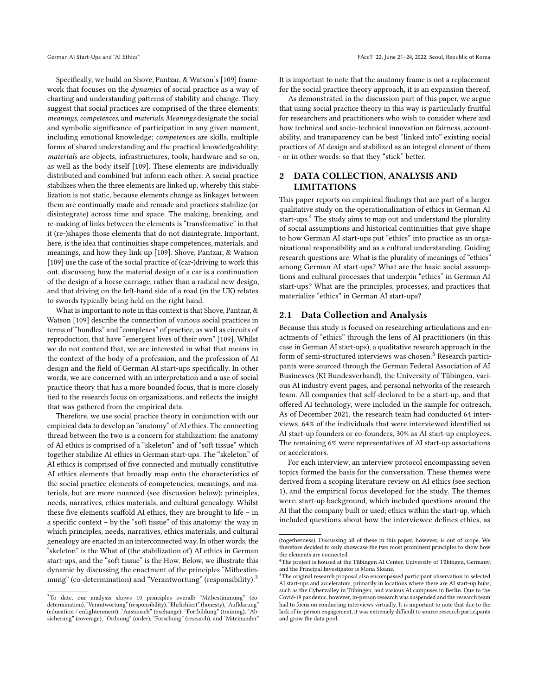Specifically, we build on Shove, Pantzar, & Watson's [\[109\]](#page-12-25) framework that focuses on the dynamics of social practice as a way of charting and understanding patterns of stability and change. They suggest that social practices are comprised of the three elements: meanings, competences, and materials. Meanings designate the social and symbolic significance of participation in any given moment, including emotional knowledge; competences are skills, multiple forms of shared understanding and the practical knowledgeability; materials are objects, infrastructures, tools, hardware and so on, as well as the body itself [\[109\]](#page-12-25). These elements are individually distributed and combined but inform each other. A social practice stabilizes when the three elements are linked up, whereby this stabilization is not static, because elements change as linkages between them are continually made and remade and practices stabilize (or disintegrate) across time and space. The making, breaking, and re-making of links between the elements is "transformative" in that it (re-)shapes those elements that do not disintegrate. Important, here, is the idea that continuities shape competences, materials, and meanings, and how they link up [\[109\]](#page-12-25). Shove, Pantzar, & Watson [\[109\]](#page-12-25) use the case of the social practice of (car-)driving to work this out, discussing how the material design of a car is a continuation of the design of a horse carriage, rather than a radical new design, and that driving on the left-hand side of a road (in the UK) relates to swords typically being held on the right hand.

What is important to note in this context is that Shove, Pantzar, & Watson [\[109\]](#page-12-25) describe the connection of various social practices in terms of "bundles" and "complexes" of practice, as well as circuits of reproduction, that have "emergent lives of their own" [\[109\]](#page-12-25). Whilst we do not contend that, we are interested in what that means in the context of the body of a profession, and the profession of AI design and the field of German AI start-ups specifically. In other words, we are concerned with an interpretation and a use of social practice theory that has a more bounded focus, that is more closely tied to the research focus on organizations, and reflects the insight that was gathered from the empirical data.

Therefore, we use social practice theory in conjunction with our empirical data to develop an "anatomy" of AI ethics. The connecting thread between the two is a concern for stabilization: the anatomy of AI ethics is comprised of a "skeleton" and of "soft tissue" which together stabilize AI ethics in German start-ups. The "skeleton" of AI ethics is comprised of five connected and mutually constitutive AI ethics elements that broadly map onto the characteristics of the social practice elements of competencies, meanings, and materials, but are more nuanced (see discussion below): principles, needs, narratives, ethics materials, and cultural genealogy. Whilst these five elements scaffold AI ethics, they are brought to life – in a specific context – by the "soft tissue" of this anatomy: the way in which principles, needs, narratives, ethics materials, and cultural genealogy are enacted in an interconnected way. In other words, the "skeleton" is the What of (the stabilization of) AI ethics in German start-ups, and the "soft tissue" is the How. Below, we illustrate this dynamic by discussing the enactment of the principles "Mitbestim-mung" (co-determination) and "Verantwortung" (responsibility).<sup>[3](#page-2-0)</sup>

It is important to note that the anatomy frame is not a replacement for the social practice theory approach, it is an expansion thereof.

As demonstrated in the discussion part of this paper, we argue that using social practice theory in this way is particularly fruitful for researchers and practitioners who wish to consider where and how technical and socio-technical innovation on fairness, accountability, and transparency can be best "linked into" existing social practices of AI design and stabilized as an integral element of them - or in other words: so that they "stick" better.

# 2 DATA COLLECTION, ANALYSIS AND LIMITATIONS

This paper reports on empirical findings that are part of a larger qualitative study on the operationalization of ethics in German AI start-ups.<sup>[4](#page-2-1)</sup> The study aims to map out and understand the plurality of social assumptions and historical continuities that give shape to how German AI start-ups put "ethics" into practice as an organizational responsibility and as a cultural understanding. Guiding research questions are: What is the plurality of meanings of "ethics" among German AI start-ups? What are the basic social assumptions and cultural processes that underpin "ethics" in German AI start-ups? What are the principles, processes, and practices that materialize "ethics" in German AI start-ups?

### 2.1 Data Collection and Analysis

Because this study is focused on researching articulations and enactments of "ethics" through the lens of AI practitioners (in this case in German AI start-ups), a qualitative research approach in the form of semi-structured interviews was chosen.<sup>[5](#page-2-2)</sup> Research participants were sourced through the German Federal Association of AI Businesses (KI Bundesverband), the University of Tübingen, various AI industry event pages, and personal networks of the research team. All companies that self-declared to be a start-up, and that offered AI technology, were included in the sample for outreach. As of December 2021, the research team had conducted 64 interviews. 64% of the individuals that were interviewed identified as AI start-up founders or co-founders, 30% as AI start-up employees. The remaining 6% were representatives of AI start-up associations or accelerators.

For each interview, an interview protocol encompassing seven topics formed the basis for the conversation. These themes were derived from a scoping literature review on AI ethics (see section 1), and the empirical focus developed for the study. The themes were: start-up background, which included questions around the AI that the company built or used; ethics within the start-up, which included questions about how the interviewee defines ethics, as

<span id="page-2-0"></span><sup>3</sup>To date, our analysis shows 10 principles overall: "Mitbestimmung" (codetermination), "Verantwortung" (responsibility), "Ehrlichkeit" (honesty), "Aufklärung" (education / enlightenment), "Austausch" (exchange), "Fortbildung" (training), "Ab-sicherung" (coverage), "Ordnung" (order), "Forschung" (research), and "Miteinander"

<sup>(</sup>togetherness). Discussing all of these in this paper, however, is out of scope. We therefore decided to only showcase the two most prominent principles to show how the elements are connected.

<span id="page-2-1"></span> $^{4}$ The project is housed at the Tübingen AI Center, University of Tübingen, Germany, and the Principal Investigator is Mona Sloane.

<span id="page-2-2"></span><sup>&</sup>lt;sup>5</sup>The original research proposal also encompassed participant observation in selected AI start-ups and accelerators, primarily in locations where there are AI start-up hubs, such as the Cybervalley in Tübingen, and various AI campuses in Berlin. Due to the Covid-19 pandemic, however, in-person research was suspended and the research team had to focus on conducting interviews virtually. It is important to note that due to the lack of in-person engagement, it was extremely difficult to source research participants and grow the data pool.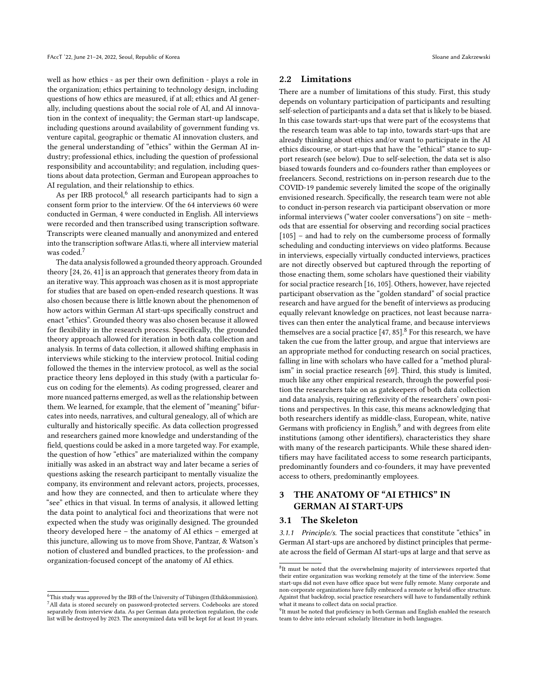well as how ethics - as per their own definition - plays a role in the organization; ethics pertaining to technology design, including questions of how ethics are measured, if at all; ethics and AI generally, including questions about the social role of AI, and AI innovation in the context of inequality; the German start-up landscape, including questions around availability of government funding vs. venture capital, geographic or thematic AI innovation clusters, and the general understanding of "ethics" within the German AI industry; professional ethics, including the question of professional responsibility and accountability; and regulation, including questions about data protection, German and European approaches to AI regulation, and their relationship to ethics.

As per IRB protocol,<sup>[6](#page-3-0)</sup> all research participants had to sign a consent form prior to the interview. Of the 64 interviews 60 were conducted in German, 4 were conducted in English. All interviews were recorded and then transcribed using transcription software. Transcripts were cleaned manually and anonymized and entered into the transcription software Atlas.ti, where all interview material was coded.<sup>[7](#page-3-1)</sup>

The data analysis followed a grounded theory approach. Grounded theory [\[24,](#page-10-21) [26,](#page-10-22) [41\]](#page-10-23) is an approach that generates theory from data in an iterative way. This approach was chosen as it is most appropriate for studies that are based on open-ended research questions. It was also chosen because there is little known about the phenomenon of how actors within German AI start-ups specifically construct and enact "ethics". Grounded theory was also chosen because it allowed for flexibility in the research process. Specifically, the grounded theory approach allowed for iteration in both data collection and analysis. In terms of data collection, it allowed shifting emphasis in interviews while sticking to the interview protocol. Initial coding followed the themes in the interview protocol, as well as the social practice theory lens deployed in this study (with a particular focus on coding for the elements). As coding progressed, clearer and more nuanced patterns emerged, as well as the relationship between them. We learned, for example, that the element of "meaning" bifurcates into needs, narratives, and cultural genealogy, all of which are culturally and historically specific. As data collection progressed and researchers gained more knowledge and understanding of the field, questions could be asked in a more targeted way. For example, the question of how "ethics" are materialized within the company initially was asked in an abstract way and later became a series of questions asking the research participant to mentally visualize the company, its environment and relevant actors, projects, processes, and how they are connected, and then to articulate where they "see" ethics in that visual. In terms of analysis, it allowed letting the data point to analytical foci and theorizations that were not expected when the study was originally designed. The grounded theory developed here – the anatomy of AI ethics – emerged at this juncture, allowing us to move from Shove, Pantzar, & Watson's notion of clustered and bundled practices, to the profession- and organization-focused concept of the anatomy of AI ethics.

### 2.2 Limitations

There are a number of limitations of this study. First, this study depends on voluntary participation of participants and resulting self-selection of participants and a data set that is likely to be biased. In this case towards start-ups that were part of the ecosystems that the research team was able to tap into, towards start-ups that are already thinking about ethics and/or want to participate in the AI ethics discourse, or start-ups that have the "ethical" stance to support research (see below). Due to self-selection, the data set is also biased towards founders and co-founders rather than employees or freelancers. Second, restrictions on in-person research due to the COVID-19 pandemic severely limited the scope of the originally envisioned research. Specifically, the research team were not able to conduct in-person research via participant observation or more informal interviews ("water cooler conversations") on site – methods that are essential for observing and recording social practices [\[105\]](#page-12-26) – and had to rely on the cumbersome process of formally scheduling and conducting interviews on video platforms. Because in interviews, especially virtually conducted interviews, practices are not directly observed but captured through the reporting of those enacting them, some scholars have questioned their viability for social practice research [\[16,](#page-10-14) [105\]](#page-12-26). Others, however, have rejected participant observation as the "golden standard" of social practice research and have argued for the benefit of interviews as producing equally relevant knowledge on practices, not least because narratives can then enter the analytical frame, and because interviews themselves are a social practice  $[47, 85]$  $[47, 85]$  $[47, 85]$ .<sup>[8](#page-3-2)</sup> For this research, we have taken the cue from the latter group, and argue that interviews are an appropriate method for conducting research on social practices, falling in line with scholars who have called for a "method pluralism" in social practice research [\[69\]](#page-11-24). Third, this study is limited, much like any other empirical research, through the powerful position the researchers take on as gatekeepers of both data collection and data analysis, requiring reflexivity of the researchers' own positions and perspectives. In this case, this means acknowledging that both researchers identify as middle-class, European, white, native Germans with proficiency in English, $^9$  $^9$  and with degrees from elite institutions (among other identifiers), characteristics they share with many of the research participants. While these shared identifiers may have facilitated access to some research participants, predominantly founders and co-founders, it may have prevented access to others, predominantly employees.

# 3 THE ANATOMY OF "AI ETHICS" IN GERMAN AI START-UPS

### 3.1 The Skeleton

3.1.1 Principle/s. The social practices that constitute "ethics" in German AI start-ups are anchored by distinct principles that permeate across the field of German AI start-ups at large and that serve as

<span id="page-3-1"></span><span id="page-3-0"></span> $^6\!$  This study was approved by the IRB of the University of Tübingen (Ethikkommission). <sup>7</sup>All data is stored securely on password-protected servers. Codebooks are stored separately from interview data. As per German data protection regulation, the code list will be destroyed by 2023. The anonymized data will be kept for at least 10 years.

<span id="page-3-2"></span><sup>&</sup>lt;sup>8</sup>It must be noted that the overwhelming majority of interviewees reported that their entire organization was working remotely at the time of the interview. Some start-ups did not even have office space but were fully remote. Many corporate and non-corporate organizations have fully embraced a remote or hybrid office structure. Against that backdrop, social practice researchers will have to fundamentally rethink what it means to collect data on social practice.

<span id="page-3-3"></span><sup>&</sup>lt;sup>9</sup>It must be noted that proficiency in both German and English enabled the research team to delve into relevant scholarly literature in both languages.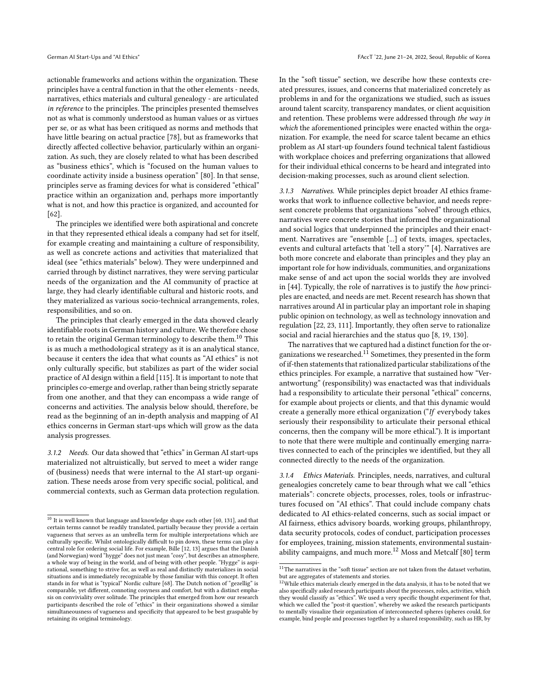actionable frameworks and actions within the organization. These principles have a central function in that the other elements - needs, narratives, ethics materials and cultural genealogy - are articulated in reference to the principles. The principles presented themselves not as what is commonly understood as human values or as virtues per se, or as what has been critiqued as norms and methods that have little bearing on actual practice [\[78\]](#page-11-25), but as frameworks that directly affected collective behavior, particularly within an organization. As such, they are closely related to what has been described as "business ethics", which is "focused on the human values to coordinate activity inside a business operation" [\[80\]](#page-11-20). In that sense, principles serve as framing devices for what is considered "ethical" practice within an organization and, perhaps more importantly what is not, and how this practice is organized, and accounted for [\[62\]](#page-11-26).

The principles we identified were both aspirational and concrete in that they represented ethical ideals a company had set for itself, for example creating and maintaining a culture of responsibility, as well as concrete actions and activities that materialized that ideal (see "ethics materials" below). They were underpinned and carried through by distinct narratives, they were serving particular needs of the organization and the AI community of practice at large, they had clearly identifiable cultural and historic roots, and they materialized as various socio-technical arrangements, roles, responsibilities, and so on.

The principles that clearly emerged in the data showed clearly identifiable roots in German history and culture. We therefore chose to retain the original German terminology to describe them.<sup>[10](#page-4-0)</sup> This is as much a methodological strategy as it is an analytical stance, because it centers the idea that what counts as "AI ethics" is not only culturally specific, but stabilizes as part of the wider social practice of AI design within a field [\[115\]](#page-12-27). It is important to note that principles co-emerge and overlap, rather than being strictly separate from one another, and that they can encompass a wide range of concerns and activities. The analysis below should, therefore, be read as the beginning of an in-depth analysis and mapping of AI ethics concerns in German start-ups which will grow as the data analysis progresses.

3.1.2 Needs. Our data showed that "ethics" in German AI start-ups materialized not altruistically, but served to meet a wider range of (business) needs that were internal to the AI start-up organization. These needs arose from very specific social, political, and commercial contexts, such as German data protection regulation. In the "soft tissue" section, we describe how these contexts created pressures, issues, and concerns that materialized concretely as problems in and for the organizations we studied, such as issues around talent scarcity, transparency mandates, or client acquisition and retention. These problems were addressed through the way in which the aforementioned principles were enacted within the organization. For example, the need for scarce talent became an ethics problem as AI start-up founders found technical talent fastidious with workplace choices and preferring organizations that allowed for their individual ethical concerns to be heard and integrated into decision-making processes, such as around client selection.

3.1.3 Narratives. While principles depict broader AI ethics frameworks that work to influence collective behavior, and needs represent concrete problems that organizations "solved" through ethics, narratives were concrete stories that informed the organizational and social logics that underpinned the principles and their enactment. Narratives are "ensemble [...] of texts, images, spectacles, events and cultural artefacts that 'tell a story'" [\[4\]](#page-10-27). Narratives are both more concrete and elaborate than principles and they play an important role for how individuals, communities, and organizations make sense of and act upon the social worlds they are involved in [\[44\]](#page-10-28). Typically, the role of narratives is to justify the how principles are enacted, and needs are met. Recent research has shown that narratives around AI in particular play an important role in shaping public opinion on technology, as well as technology innovation and regulation [\[22,](#page-10-29) [23,](#page-10-30) [111\]](#page-12-29). Importantly, they often serve to rationalize social and racial hierarchies and the status quo [\[8,](#page-10-31) [19,](#page-10-32) [130\]](#page-12-30).

The narratives that we captured had a distinct function for the or-ganizations we researched.<sup>[11](#page-4-1)</sup> Sometimes, they presented in the form of if-then statements that rationalized particular stabilizations of the ethics principles. For example, a narrative that sustained how "Verantwortung" (responsibility) was enactacted was that individuals had a responsibility to articulate their personal "ethical" concerns, for example about projects or clients, and that this dynamic would create a generally more ethical organization ("If everybody takes seriously their responsibility to articulate their personal ethical concerns, then the company will be more ethical."). It is important to note that there were multiple and continually emerging narratives connected to each of the principles we identified, but they all connected directly to the needs of the organization.

3.1.4 Ethics Materials. Principles, needs, narratives, and cultural genealogies concretely came to bear through what we call "ethics materials": concrete objects, processes, roles, tools or infrastructures focused on "AI ethics". That could include company chats dedicated to AI ethics-related concerns, such as social impact or AI fairness, ethics advisory boards, working groups, philanthropy, data security protocols, codes of conduct, participation processes for employees, training, mission statements, environmental sustain-ability campaigns, and much more.<sup>[12](#page-4-2)</sup> Moss and Metcalf [\[80\]](#page-11-20) term

<span id="page-4-0"></span> $^{\rm 10}$  It is well known that language and knowledge shape each other [\[60,](#page-11-27) [131\]](#page-12-28), and that certain terms cannot be readily translated, partially because they provide a certain vagueness that serves as an umbrella term for multiple interpretations which are culturally specific. Whilst ontologically difficult to pin down, these terms can play a central role for ordering social life. For example, Bille [\[12,](#page-10-25) [13\]](#page-10-26) argues that the Danish (and Norwegian) word "hygge" does not just mean "cosy", but describes an atmosphere, a whole way of being in the world, and of being with other people. "Hygge" is aspirational, something to strive for, as well as real and distinctly materializes in social situations and is immediately recognizable by those familiar with this concept. It often stands in for what is "typical" Nordic culture [\[68\]](#page-11-28). The Dutch notion of "gezellig" is comparable, yet different, connoting cosyness and comfort, but with a distinct emphasis on conviviality over solitude. The principles that emerged from how our research participants described the role of "ethics" in their organizations showed a similar simultaneousness of vagueness and specificity that appeared to be best graspable by retaining its original terminology.

<span id="page-4-1"></span> $11$ The narratives in the "soft tissue" section are not taken from the dataset verbatim, but are aggregates of statements and stories.

<span id="page-4-2"></span> $12$ While ethics materials clearly emerged in the data analysis, it has to be noted that we also specifically asked research participants about the processes, roles, activities, which they would classify as "ethics". We used a very specific thought experiment for that, which we called the "post-it question", whereby we asked the research participants to mentally visualize their organization of interconnected spheres (spheres could, for example, bind people and processes together by a shared responsibility, such as HR, by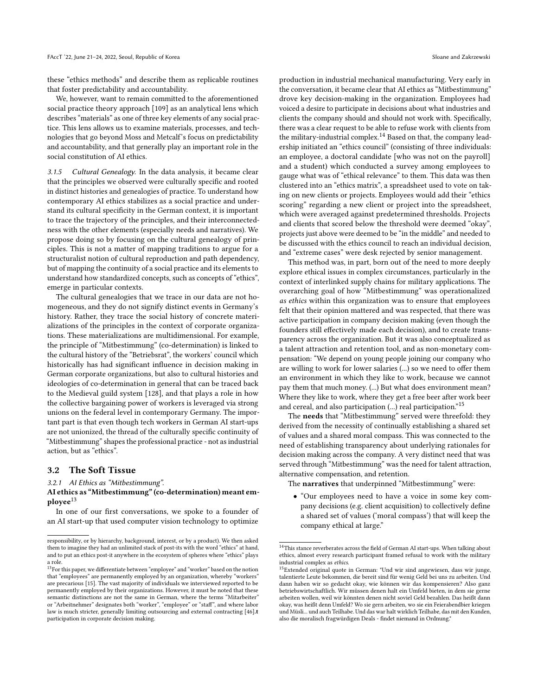these "ethics methods" and describe them as replicable routines that foster predictability and accountability.

We, however, want to remain committed to the aforementioned social practice theory approach [\[109\]](#page-12-25) as an analytical lens which describes "materials" as one of three key elements of any social practice. This lens allows us to examine materials, processes, and technologies that go beyond Moss and Metcalf's focus on predictability and accountability, and that generally play an important role in the social constitution of AI ethics.

3.1.5 Cultural Genealogy. In the data analysis, it became clear that the principles we observed were culturally specific and rooted in distinct histories and genealogies of practice. To understand how contemporary AI ethics stabilizes as a social practice and understand its cultural specificity in the German context, it is important to trace the trajectory of the principles, and their interconnectedness with the other elements (especially needs and narratives). We propose doing so by focusing on the cultural genealogy of principles. This is not a matter of mapping traditions to argue for a structuralist notion of cultural reproduction and path dependency, but of mapping the continuity of a social practice and its elements to understand how standardized concepts, such as concepts of "ethics", emerge in particular contexts.

The cultural genealogies that we trace in our data are not homogeneous, and they do not signify distinct events in Germany's history. Rather, they trace the social history of concrete materializations of the principles in the context of corporate organizations. These materializations are multidimensional. For example, the principle of "Mitbestimmung" (co-determination) is linked to the cultural history of the "Betriebsrat", the workers' council which historically has had significant influence in decision making in German corporate organizations, but also to cultural histories and ideologies of co-determination in general that can be traced back to the Medieval guild system [\[128\]](#page-12-31), and that plays a role in how the collective bargaining power of workers is leveraged via strong unions on the federal level in contemporary Germany. The important part is that even though tech workers in German AI start-ups are not unionized, the thread of the culturally specific continuity of "Mitbestimmung" shapes the professional practice - not as industrial action, but as "ethics".

### 3.2 The Soft Tissue

3.2.1 AI Ethics as "Mitbestimmung".

### AI ethics as "Mitbestimmung" (co-determination) meant em-ployee<sup>[13](#page-5-0)</sup>

In one of our first conversations, we spoke to a founder of an AI start-up that used computer vision technology to optimize

production in industrial mechanical manufacturing. Very early in the conversation, it became clear that AI ethics as "Mitbestimmung" drove key decision-making in the organization. Employees had voiced a desire to participate in decisions about what industries and clients the company should and should not work with. Specifically, there was a clear request to be able to refuse work with clients from the military-industrial complex.<sup>[14](#page-5-1)</sup> Based on that, the company leadership initiated an "ethics council" (consisting of three individuals: an employee, a doctoral candidate [who was not on the payroll] and a student) which conducted a survey among employees to gauge what was of "ethical relevance" to them. This data was then clustered into an "ethics matrix", a spreadsheet used to vote on taking on new clients or projects. Employees would add their "ethics scoring" regarding a new client or project into the spreadsheet, which were averaged against predetermined thresholds. Projects and clients that scored below the threshold were deemed "okay", projects just above were deemed to be "in the middle" and needed to be discussed with the ethics council to reach an individual decision, and "extreme cases" were desk rejected by senior management.

This method was, in part, born out of the need to more deeply explore ethical issues in complex circumstances, particularly in the context of interlinked supply chains for military applications. The overarching goal of how "Mitbestimmung" was operationalized as ethics within this organization was to ensure that employees felt that their opinion mattered and was respected, that there was active participation in company decision making (even though the founders still effectively made each decision), and to create transparency across the organization. But it was also conceptualized as a talent attraction and retention tool, and as non-monetary compensation: "We depend on young people joining our company who are willing to work for lower salaries (...) so we need to offer them an environment in which they like to work, because we cannot pay them that much money. (...) But what does environment mean? Where they like to work, where they get a free beer after work beer and cereal, and also participation (...) real participation."[15](#page-5-2)

The needs that "Mitbestimmung" served were threefold: they derived from the necessity of continually establishing a shared set of values and a shared moral compass. This was connected to the need of establishing transparency about underlying rationales for decision making across the company. A very distinct need that was served through "Mitbestimmung" was the need for talent attraction, alternative compensation, and retention.

The narratives that underpinned "Mitbestimmung" were:

• "Our employees need to have a voice in some key company decisions (e.g. client acquisition) to collectively define a shared set of values ('moral compass') that will keep the company ethical at large."

responsibility, or by hierarchy, background, interest, or by a product). We then asked them to imagine they had an unlimited stack of post-its with the word "ethics" at hand, and to put an ethics post-it anywhere in the ecosystem of spheres where "ethics" plays a role.

<span id="page-5-0"></span> $^{13}\rm{For}$  this paper, we differentiate between "employee" and "worker" based on the notion that "employees" are permanently employed by an organization, whereby "workers" are precarious [\[15\]](#page-10-33). The vast majority of individuals we interviewed reported to be permanently employed by their organizations. However, it must be noted that these semantic distinctions are not the same in German, where the terms "Mitarbeiter" or "Arbeitnehmer" designates both "worker", "employee" or "staff", and where labor law is much stricter, generally limiting outsourcing and external contracting [\[46\]](#page-10-34).t participation in corporate decision making.

<span id="page-5-1"></span> $^{14}\mathrm{This}$  stance reverberates across the field of German AI start-ups. When talking about ethics, almost every research participant framed refusal to work with the military industrial complex as ethics.

<span id="page-5-2"></span><sup>15</sup>Extended original quote in German: "Und wir sind angewiesen, dass wir junge, talentierte Leute bekommen, die bereit sind für wenig Geld bei uns zu arbeiten. Und dann haben wir so gedacht okay, wie können wir das kompensieren? Also ganz betriebswirtschaftlich. Wir müssen denen halt ein Umfeld bieten, in dem sie gerne arbeiten wollen, weil wir könnten denen nicht soviel Geld bezahlen. Das heißt dann okay, was heißt denn Umfeld? Wo sie gern arbeiten, wo sie ein Feierabendbier kriegen und Müsli... und auch Teilhabe. Und das war halt wirklich Teilhabe, das mit den Kunden, also die moralisch fragwürdigen Deals - findet niemand in Ordnung."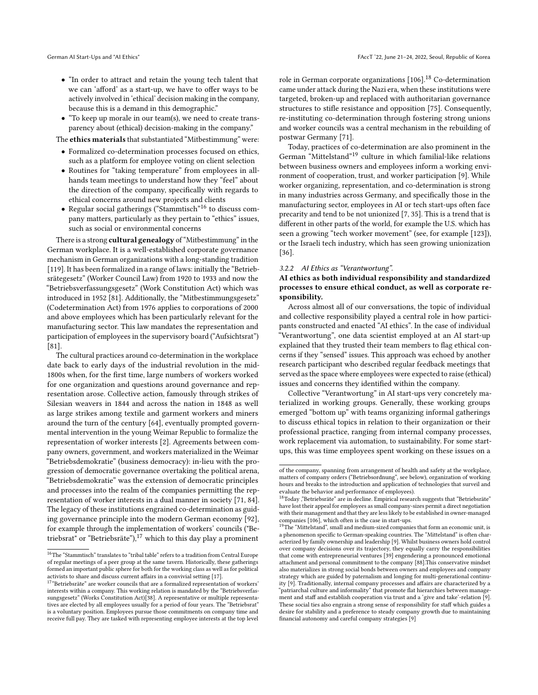- "In order to attract and retain the young tech talent that we can 'afford' as a start-up, we have to offer ways to be actively involved in 'ethical' decision making in the company, because this is a demand in this demographic."
- "To keep up morale in our team(s), we need to create transparency about (ethical) decision-making in the company."

The ethics materials that substantiated "Mitbestimmung" were:

- Formalized co-determination processes focused on ethics, such as a platform for employee voting on client selection
- Routines for "taking temperature" from employees in allhands team meetings to understand how they "feel" about the direction of the company, specifically with regards to ethical concerns around new projects and clients
- $\bullet$  Regular social gatherings ("Stammtisch"<sup>[16](#page-6-0)</sup> to discuss company matters, particularly as they pertain to "ethics" issues, such as social or environmental concerns

There is a strong cultural genealogy of "Mitbestimmung" in the German workplace. It is a well-established corporate governance mechanism in German organizations with a long-standing tradition [\[119\]](#page-12-32). It has been formalized in a range of laws: initially the "Betriebsrätegesetz" (Worker Council Law) from 1920 to 1933 and now the "Betriebsverfassungsgesetz" (Work Constitution Act) which was introduced in 1952 [\[81\]](#page-11-29). Additionally, the "Mitbestimmungsgesetz" (Codetermination Act) from 1976 applies to corporations of 2000 and above employees which has been particularly relevant for the manufacturing sector. This law mandates the representation and participation of employees in the supervisory board ("Aufsichtsrat") [\[81\]](#page-11-29).

The cultural practices around co-determination in the workplace date back to early days of the industrial revolution in the mid-1800s when, for the first time, large numbers of workers worked for one organization and questions around governance and representation arose. Collective action, famously through strikes of Silesian weavers in 1844 and across the nation in 1848 as well as large strikes among textile and garment workers and miners around the turn of the century [\[64\]](#page-11-30), eventually prompted governmental intervention in the young Weimar Republic to formalize the representation of worker interests [\[2\]](#page-9-2). Agreements between company owners, government, and workers materialized in the Weimar "Betriebsdemokratie" (business democracy): in-lieu with the progression of democratic governance overtaking the political arena, "Betriebsdemokratie" was the extension of democratic principles and processes into the realm of the companies permitting the representation of worker interests in a dual manner in society [\[71,](#page-11-31) [84\]](#page-11-32). The legacy of these institutions engrained co-determination as guiding governance principle into the modern German economy [\[92\]](#page-11-33), for example through the implementation of workers' councils ("Be-triebsrat" or "Betriebsräte"),<sup>[17](#page-6-1)</sup> which to this day play a prominent

role in German corporate organizations [\[106\]](#page-12-33).[18](#page-6-2) Co-determination came under attack during the Nazi era, when these institutions were targeted, broken-up and replaced with authoritarian governance structures to stifle resistance and opposition [\[75\]](#page-11-34). Consequently, re-instituting co-determination through fostering strong unions and worker councils was a central mechanism in the rebuilding of postwar Germany [\[71\]](#page-11-31).

Today, practices of co-determination are also prominent in the German "Mittelstand"[19](#page-6-3) culture in which familial-like relations between business owners and employees inform a working environment of cooperation, trust, and worker participation [\[9\]](#page-10-37). While worker organizing, representation, and co-determination is strong in many industries across Germany, and specifically those in the manufacturing sector, employees in AI or tech start-ups often face precarity and tend to be not unionized [\[7,](#page-10-38) [35\]](#page-10-39). This is a trend that is different in other parts of the world, for example the U.S. which has seen a growing "tech worker movement" (see, for example [\[123\]](#page-12-34)), or the Israeli tech industry, which has seen growing unionization [\[36\]](#page-10-40).

#### 3.2.2 AI Ethics as "Verantwortung".

### AI ethics as both individual responsibility and standardized processes to ensure ethical conduct, as well as corporate responsibility.

Across almost all of our conversations, the topic of individual and collective responsibility played a central role in how participants constructed and enacted "AI ethics". In the case of individual "Verantwortung", one data scientist employed at an AI start-up explained that they trusted their team members to flag ethical concerns if they "sensed" issues. This approach was echoed by another research participant who described regular feedback meetings that served as the space where employees were expected to raise (ethical) issues and concerns they identified within the company.

Collective "Verantwortung" in AI start-ups very concretely materialized in working groups. Generally, these working groups emerged "bottom up" with teams organizing informal gatherings to discuss ethical topics in relation to their organization or their professional practice, ranging from internal company processes, work replacement via automation, to sustainability. For some startups, this was time employees spent working on these issues on a

<span id="page-6-0"></span> $^{16}\mathrm{The}$  "Stammtisch" translates to "tribal table" refers to a tradition from Central Europe of regular meetings of a peer group at the same tavern. Historically, these gatherings formed an important public sphere for both for the working class as well as for political

<span id="page-6-1"></span>activists to share and discuss current affairs in a convivial setting [\[17\]](#page-10-35).<br><sup>17</sup>"Betriebsräte" are worker councils that are a formalized representation of workers' interests within a company. This working relation is mandated by the "Betriebsverfassungsgesetz" (Works Constitution Act)[\[38\]](#page-10-36). A representative or multiple representatives are elected by all employees usually for a period of four years. The "Betriebsrat" is a voluntary position. Employees pursue those commitments on company time and receive full pay. They are tasked with representing employee interests at the top level

of the company, spanning from arrangement of health and safety at the workplace, matters of company orders ("Betriebsordnung", see below), organization of working hours and breaks to the introduction and application of technologies that surveil and evaluate the behavior and performance of employees).

<span id="page-6-2"></span> $^{18}\rm T$ oday ,"Betriebsräte" are in decline. Empirical research suggests that "Betriebsräte" have lost their appeal for employees as small company-sizes permit a direct negotiation with their management and that they are less likely to be established in owner-managed companies [\[106\]](#page-12-33), which often is the case in start-ups.

<span id="page-6-3"></span><sup>&</sup>lt;sup>19</sup>The "Mittelstand", small and medium-sized companies that form an economic unit, is a phenomenon specific to German-speaking countries. The "Mittelstand" is often characterized by family ownership and leadership [\[9\]](#page-10-37). Whilst business owners hold control over company decisions over its trajectory, they equally carry the responsibilities that come with entrepreneurial ventures [\[39\]](#page-10-41) engendering a pronounced emotional attachment and personal commitment to the company [\[88\]](#page-11-35).This conservative mindset also materializes in strong social bonds between owners and employees and company strategy which are guided by paternalism and longing for multi-generational continuity [\[9\]](#page-10-37). Traditionally, internal company processes and affairs are characterized by a "patriarchal culture and informality" that promote flat hierarchies between management and staff and establish cooperation via trust and a 'give and take'-relation [\[9\]](#page-10-37). These social ties also engrain a strong sense of responsibility for staff which guides a desire for stability and a preference to steady company growth due to maintaining financial autonomy and careful company strategies [\[9\]](#page-10-37)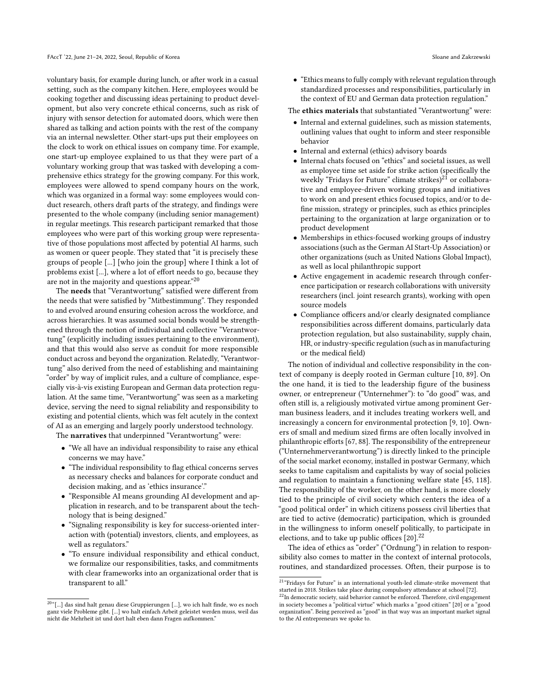voluntary basis, for example during lunch, or after work in a casual setting, such as the company kitchen. Here, employees would be cooking together and discussing ideas pertaining to product development, but also very concrete ethical concerns, such as risk of injury with sensor detection for automated doors, which were then shared as talking and action points with the rest of the company via an internal newsletter. Other start-ups put their employees on the clock to work on ethical issues on company time. For example, one start-up employee explained to us that they were part of a voluntary working group that was tasked with developing a comprehensive ethics strategy for the growing company. For this work, employees were allowed to spend company hours on the work, which was organized in a formal way: some employees would conduct research, others draft parts of the strategy, and findings were presented to the whole company (including senior management) in regular meetings. This research participant remarked that those employees who were part of this working group were representative of those populations most affected by potential AI harms, such as women or queer people. They stated that "it is precisely these groups of people [...] [who join the group] where I think a lot of problems exist [...], where a lot of effort needs to go, because they are not in the majority and questions appear."[20](#page-7-0)  $\,$ 

The needs that "Verantwortung" satisfied were different from the needs that were satisfied by "Mitbestimmung". They responded to and evolved around ensuring cohesion across the workforce, and across hierarchies. It was assumed social bonds would be strengthened through the notion of individual and collective "Verantwortung" (explicitly including issues pertaining to the environment), and that this would also serve as conduit for more responsible conduct across and beyond the organization. Relatedly, "Verantwortung" also derived from the need of establishing and maintaining "order" by way of implicit rules, and a culture of compliance, especially vis-à-vis existing European and German data protection regulation. At the same time, "Verantwortung" was seen as a marketing device, serving the need to signal reliability and responsibility to existing and potential clients, which was felt acutely in the context of AI as an emerging and largely poorly understood technology.

The narratives that underpinned "Verantwortung" were:

- "We all have an individual responsibility to raise any ethical concerns we may have."
- "The individual responsibility to flag ethical concerns serves as necessary checks and balances for corporate conduct and decision making, and as 'ethics insurance'."
- "Responsible AI means grounding AI development and application in research, and to be transparent about the technology that is being designed."
- "Signaling responsibility is key for success-oriented interaction with (potential) investors, clients, and employees, as well as regulators."
- "To ensure individual responsibility and ethical conduct, we formalize our responsibilities, tasks, and commitments with clear frameworks into an organizational order that is transparent to all."

• "Ethics means to fully comply with relevant regulation through standardized processes and responsibilities, particularly in the context of EU and German data protection regulation."

The ethics materials that substantiated "Verantwortung" were:

- Internal and external guidelines, such as mission statements, outlining values that ought to inform and steer responsible behavior
- Internal and external (ethics) advisory boards
- Internal chats focused on "ethics" and societal issues, as well as employee time set aside for strike action (specifically the weekly "Fridays for Future" climate strikes)<sup>[21](#page-7-1)</sup> or collaborative and employee-driven working groups and initiatives to work on and present ethics focused topics, and/or to define mission, strategy or principles, such as ethics principles pertaining to the organization at large organization or to product development
- Memberships in ethics-focused working groups of industry associations (such as the German AI Start-Up Association) or other organizations (such as United Nations Global Impact), as well as local philanthropic support
- Active engagement in academic research through conference participation or research collaborations with university researchers (incl. joint research grants), working with open source models
- Compliance officers and/or clearly designated compliance responsibilities across different domains, particularly data protection regulation, but also sustainability, supply chain, HR, or industry-specific regulation (such as in manufacturing or the medical field)

The notion of individual and collective responsibility in the context of company is deeply rooted in German culture [\[10,](#page-10-42) [89\]](#page-11-36). On the one hand, it is tied to the leadership figure of the business owner, or entrepreneur ("Unternehmer"): to "do good" was, and often still is, a religiously motivated virtue among prominent German business leaders, and it includes treating workers well, and increasingly a concern for environmental protection [\[9,](#page-10-37) [10\]](#page-10-42). Owners of small and medium sized firms are often locally involved in philanthropic efforts [\[67,](#page-11-37) [88\]](#page-11-35). The responsibility of the entrepreneur ("Unternehmerverantwortung") is directly linked to the principle of the social market economy, installed in postwar Germany, which seeks to tame capitalism and capitalists by way of social policies and regulation to maintain a functioning welfare state [\[45,](#page-10-43) [118\]](#page-12-35). The responsibility of the worker, on the other hand, is more closely tied to the principle of civil society which centers the idea of a "good political order" in which citizens possess civil liberties that are tied to active (democratic) participation, which is grounded in the willingness to inform oneself politically, to participate in elections, and to take up public offices  $[20]$ .<sup>[22](#page-7-2)</sup>

The idea of ethics as "order" ("Ordnung") in relation to responsibility also comes to matter in the context of internal protocols, routines, and standardized processes. Often, their purpose is to

<span id="page-7-0"></span> $^{20\, \circ}$  [...] das sind halt genau diese Gruppierungen [...], wo ich halt finde, wo es noch ganz viele Probleme gibt. [...] wo halt einfach Arbeit geleistet werden muss, weil das nicht die Mehrheit ist und dort halt eben dann Fragen aufkommen."

<span id="page-7-1"></span><sup>&</sup>lt;sup>21</sup>"Fridays for Future" is an international youth-led climate-strike movement that

<span id="page-7-2"></span>started in 2018. Strikes take place during compulsory attendance at school [\[72\]](#page-11-38).<br><sup>22</sup>In democratic society, said behavior cannot be enforced. Therefore, civil engagement in society becomes a "political virtue" which marks a "good citizen" [\[20\]](#page-10-44) or a "good organization". Being perceived as "good" in that way was an important market signal to the AI entrepreneurs we spoke to.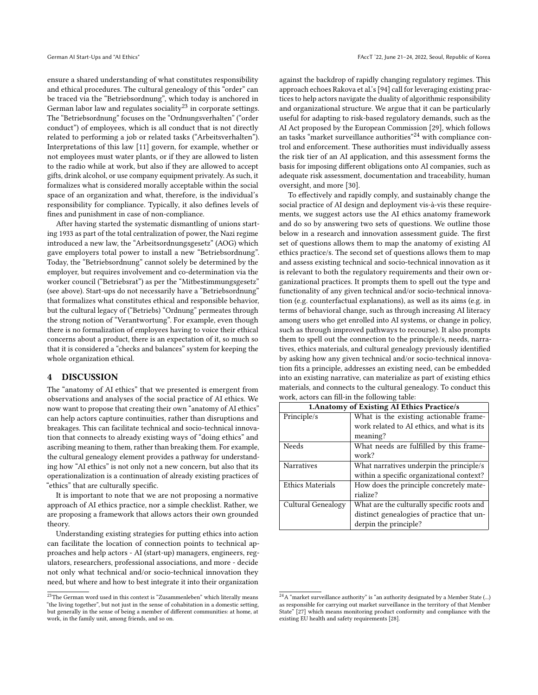ensure a shared understanding of what constitutes responsibility and ethical procedures. The cultural genealogy of this "order" can be traced via the "Betriebsordnung", which today is anchored in German labor law and regulates sociality<sup>[23](#page-8-0)</sup> in corporate settings. The "Betriebsordnung" focuses on the "Ordnungsverhalten" ("order conduct") of employees, which is all conduct that is not directly related to performing a job or related tasks ("Arbeitsverhalten"). Interpretations of this law [\[11\]](#page-10-45) govern, for example, whether or not employees must water plants, or if they are allowed to listen to the radio while at work, but also if they are allowed to accept gifts, drink alcohol, or use company equipment privately. As such, it formalizes what is considered morally acceptable within the social space of an organization and what, therefore, is the individual's responsibility for compliance. Typically, it also defines levels of fines and punishment in case of non-compliance.

After having started the systematic dismantling of unions starting 1933 as part of the total centralization of power, the Nazi regime introduced a new law, the "Arbeitsordnungsgesetz" (AOG) which gave employers total power to install a new "Betriebsordnung". Today, the "Betriebsordnung" cannot solely be determined by the employer, but requires involvement and co-determination via the worker council ("Betriebsrat") as per the "Mitbestimmungsgesetz" (see above). Start-ups do not necessarily have a "Betriebsordnung" that formalizes what constitutes ethical and responsible behavior, but the cultural legacy of ("Betriebs) "Ordnung" permeates through the strong notion of "Verantwortung". For example, even though there is no formalization of employees having to voice their ethical concerns about a product, there is an expectation of it, so much so that it is considered a "checks and balances" system for keeping the whole organization ethical.

# 4 DISCUSSION

The "anatomy of AI ethics" that we presented is emergent from observations and analyses of the social practice of AI ethics. We now want to propose that creating their own "anatomy of AI ethics" can help actors capture continuities, rather than disruptions and breakages. This can facilitate technical and socio-technical innovation that connects to already existing ways of "doing ethics" and ascribing meaning to them, rather than breaking them. For example, the cultural genealogy element provides a pathway for understanding how "AI ethics" is not only not a new concern, but also that its operationalization is a continuation of already existing practices of "ethics" that are culturally specific.

It is important to note that we are not proposing a normative approach of AI ethics practice, nor a simple checklist. Rather, we are proposing a framework that allows actors their own grounded theory.

Understanding existing strategies for putting ethics into action can facilitate the location of connection points to technical approaches and help actors - AI (start-up) managers, engineers, regulators, researchers, professional associations, and more - decide not only what technical and/or socio-technical innovation they need, but where and how to best integrate it into their organization

against the backdrop of rapidly changing regulatory regimes. This approach echoes Rakova et al.'s [\[94\]](#page-11-17) call for leveraging existing practices to help actors navigate the duality of algorithmic responsibility and organizational structure. We argue that it can be particularly useful for adapting to risk-based regulatory demands, such as the AI Act proposed by the European Commission [\[29\]](#page-10-46), which follows an tasks "market surveillance authorities"<sup>[24](#page-8-1)</sup> with compliance control and enforcement. These authorities must individually assess the risk tier of an AI application, and this assessment forms the basis for imposing different obligations onto AI companies, such as adequate risk assessment, documentation and traceability, human oversight, and more [\[30\]](#page-10-47).

To effectively and rapidly comply, and sustainably change the social practice of AI design and deployment vis-à-vis these requirements, we suggest actors use the AI ethics anatomy framework and do so by answering two sets of questions. We outline those below in a research and innovation assessment guide. The first set of questions allows them to map the anatomy of existing AI ethics practice/s. The second set of questions allows them to map and assess existing technical and socio-technical innovation as it is relevant to both the regulatory requirements and their own organizational practices. It prompts them to spell out the type and functionality of any given technical and/or socio-technical innovation (e.g. counterfactual explanations), as well as its aims (e.g. in terms of behavioral change, such as through increasing AI literacy among users who get enrolled into AI systems, or change in policy, such as through improved pathways to recourse). It also prompts them to spell out the connection to the principle/s, needs, narratives, ethics materials, and cultural genealogy previously identified by asking how any given technical and/or socio-technical innovation fits a principle, addresses an existing need, can be embedded into an existing narrative, can materialize as part of existing ethics materials, and connects to the cultural genealogy. To conduct this work, actors can fill-in the following table:

| 1. Anatomy of Existing AI Ethics Practice/s |                                            |  |
|---------------------------------------------|--------------------------------------------|--|
| Principle/s                                 | What is the existing actionable frame-     |  |
|                                             | work related to AI ethics, and what is its |  |
|                                             | meaning?                                   |  |
| Needs                                       | What needs are fulfilled by this frame-    |  |
|                                             | work?                                      |  |
| <b>Narratives</b>                           | What narratives underpin the principle/s   |  |
|                                             | within a specific organizational context?  |  |
| <b>Ethics Materials</b>                     | How does the principle concretely mate-    |  |
|                                             | rialize?                                   |  |
| Cultural Genealogy                          | What are the culturally specific roots and |  |
|                                             | distinct genealogies of practice that un-  |  |
|                                             | derpin the principle?                      |  |

<span id="page-8-0"></span> $\overline{^{23}\text{The}}$  German word used in this context is "Zusammenleben" which literally means "the living together", but not just in the sense of cohabitation in a domestic setting, but generally in the sense of being a member of different communities: at home, at work, in the family unit, among friends, and so on.

<span id="page-8-1"></span> $^{24}{\rm A}$  "market surveillance authority" is "an authority designated by a Member State (...) as responsible for carrying out market surveillance in the territory of that Member State" [\[27\]](#page-10-48) which means monitoring product conformity and compliance with the existing EU health and safety requirements [\[28\]](#page-10-49).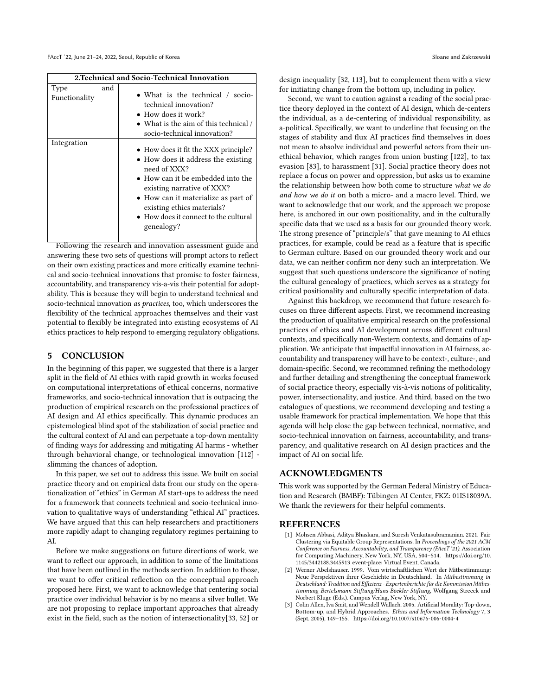| 2. Technical and Socio-Technical Innovation |     |                                                                                                                                                                                                                                                                                                   |
|---------------------------------------------|-----|---------------------------------------------------------------------------------------------------------------------------------------------------------------------------------------------------------------------------------------------------------------------------------------------------|
| Type<br>Functionality                       | and | • What is the technical / socio-<br>technical innovation?<br>$\bullet$ How does it work?<br>• What is the aim of this technical $\ell$<br>socio-technical innovation?                                                                                                                             |
| Integration                                 |     | • How does it fit the XXX principle?<br>• How does it address the existing<br>need of XXX?<br>$\bullet$ How can it be embedded into the<br>existing narrative of XXX?<br>• How can it materialize as part of<br>existing ethics materials?<br>• How does it connect to the cultural<br>genealogy? |

Following the research and innovation assessment guide and answering these two sets of questions will prompt actors to reflect on their own existing practices and more critically examine technical and socio-technical innovations that promise to foster fairness, accountability, and transparency vis-a-vis their potential for adoptability. This is because they will begin to understand technical and socio-technical innovation as practices, too, which underscores the flexibility of the technical approaches themselves and their vast potential to flexibly be integrated into existing ecosystems of AI ethics practices to help respond to emerging regulatory obligations.

### 5 CONCLUSION

In the beginning of this paper, we suggested that there is a larger split in the field of AI ethics with rapid growth in works focused on computational interpretations of ethical concerns, normative frameworks, and socio-technical innovation that is outpacing the production of empirical research on the professional practices of AI design and AI ethics specifically. This dynamic produces an epistemological blind spot of the stabilization of social practice and the cultural context of AI and can perpetuate a top-down mentality of finding ways for addressing and mitigating AI harms - whether through behavioral change, or technological innovation [\[112\]](#page-12-13) slimming the chances of adoption.

In this paper, we set out to address this issue. We built on social practice theory and on empirical data from our study on the operationalization of "ethics" in German AI start-ups to address the need for a framework that connects technical and socio-technical innovation to qualitative ways of understanding "ethical AI" practices. We have argued that this can help researchers and practitioners more rapidly adapt to changing regulatory regimes pertaining to AI.

Before we make suggestions on future directions of work, we want to reflect our approach, in addition to some of the limitations that have been outlined in the methods section. In addition to those, we want to offer critical reflection on the conceptual approach proposed here. First, we want to acknowledge that centering social practice over individual behavior is by no means a silver bullet. We are not proposing to replace important approaches that already exist in the field, such as the notion of intersectionality[\[33,](#page-10-12) [52\]](#page-10-13) or

design inequality [\[32,](#page-10-50) [113\]](#page-12-36), but to complement them with a view for initiating change from the bottom up, including in policy.

Second, we want to caution against a reading of the social practice theory deployed in the context of AI design, which de-centers the individual, as a de-centering of individual responsibility, as a-political. Specifically, we want to underline that focusing on the stages of stability and flux AI practices find themselves in does not mean to absolve individual and powerful actors from their unethical behavior, which ranges from union busting [\[122\]](#page-12-37), to tax evasion [\[83\]](#page-11-39), to harassment [\[31\]](#page-10-51). Social practice theory does not replace a focus on power and oppression, but asks us to examine the relationship between how both come to structure what we do and how we do it on both a micro- and a macro level. Third, we want to acknowledge that our work, and the approach we propose here, is anchored in our own positionality, and in the culturally specific data that we used as a basis for our grounded theory work. The strong presence of "principle/s" that gave meaning to AI ethics practices, for example, could be read as a feature that is specific to German culture. Based on our grounded theory work and our data, we can neither confirm nor deny such an interpretation. We suggest that such questions underscore the significance of noting the cultural genealogy of practices, which serves as a strategy for critical positionality and culturally specific interpretation of data.

Against this backdrop, we recommend that future research focuses on three different aspects. First, we recommend increasing the production of qualitative empirical research on the professional practices of ethics and AI development across different cultural contexts, and specifically non-Western contexts, and domains of application. We anticipate that impactful innovation in AI fairness, accountability and transparency will have to be context-, culture-, and domain-specific. Second, we recommned refining the methodology and further detailing and strengthening the conceptual framework of social practice theory, especially vis-à-vis notions of politicality, power, intersectionality, and justice. And third, based on the two catalogues of questions, we recommend developing and testing a usable framework for practical implementation. We hope that this agenda will help close the gap between technical, normative, and socio-technical innovation on fairness, accountability, and transparency, and qualitative research on AI design practices and the impact of AI on social life.

# ACKNOWLEDGMENTS

This work was supported by the German Federal Ministry of Education and Research (BMBF): Tübingen AI Center, FKZ: 01IS18039A. We thank the reviewers for their helpful comments.

# **REFERENCES**

- <span id="page-9-0"></span>[1] Mohsen Abbasi, Aditya Bhaskara, and Suresh Venkatasubramanian. 2021. Fair Clustering via Equitable Group Representations. In Proceedings of the 2021 ACM Conference on Fairness, Accountability, and Transparency (FAccT '21). Association for Computing Machinery, New York, NY, USA, 504–514. [https://doi.org/10.](https://doi.org/10.1145/3442188.3445913) [1145/3442188.3445913](https://doi.org/10.1145/3442188.3445913) event-place: Virtual Event, Canada.
- <span id="page-9-2"></span>Werner Abelshauser. 1999. Vom wirtschaftlichen Wert der Mitbestimmung: Neue Perspektiven ihrer Geschichte in Deutschland. In Mitbestimmung in Deutschland: Tradition und Effizienz - Expertenberichte für die Kommission Mitbestimmung Bertelsmann Stiftung/Hans-Böckler-Stiftung, Wolfgang Streeck and Norbert Kluge (Eds.). Campus Verlag, New York, NY.
- <span id="page-9-1"></span>[3] Colin Allen, Iva Smit, and Wendell Wallach. 2005. Artificial Morality: Top-down, Bottom-up, and Hybrid Approaches. Ethics and Information Technology 7, 3 (Sept. 2005), 149–155.<https://doi.org/10.1007/s10676-006-0004-4>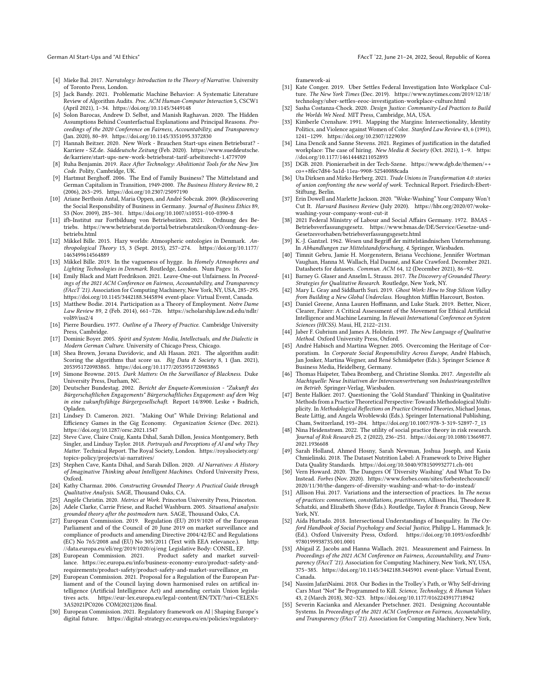- <span id="page-10-27"></span>[4] Mieke Bal. 2017. Narratology: Introduction to the Theory of Narrative. University of Toronto Press, London.
- <span id="page-10-8"></span>[5] Jack Bandy. 2021. Problematic Machine Behavior: A Systematic Literature Review of Algorithm Audits. Proc. ACM Human-Computer Interaction 5, CSCW1 (April 2021), 1–34.<https://doi.org/10.1145/3449148>
- <span id="page-10-4"></span>Solon Barocas, Andrew D. Selbst, and Manish Raghavan. 2020. The Hidden Assumptions Behind Counterfactual Explanations and Principal Reasons. Proceedings of the 2020 Conference on Fairness, Accountability, and Transparency (Jan. 2020), 80–89.<https://doi.org/10.1145/3351095.3372830>
- <span id="page-10-38"></span>Hannah Beitzer. 2020. New Work - Brauchen Start-ups einen Betriebsrat? -Karriere - SZ.de. Süddeutsche Zeitung (Feb. 2020). [https://www.sueddeutsche.](https://www.sueddeutsche.de/karriere/start-ups-new-work-betriebsrat-tarif-arbeitsrecht-1.4779709) [de/karriere/start-ups-new-work-betriebsrat-tarif-arbeitsrecht-1.4779709](https://www.sueddeutsche.de/karriere/start-ups-new-work-betriebsrat-tarif-arbeitsrecht-1.4779709)
- <span id="page-10-31"></span>Ruha Benjamin. 2019. Race After Technology: Abolitionist Tools for the New Jim Code. Polity, Cambridge, UK.
- <span id="page-10-37"></span>[9] Hartmut Berghoff. 2006. The End of Family Business? The Mittelstand and German Capitalism in Transition, 1949-2000. The Business History Review 80, 2 (2006), 263–295.<https://doi.org/10.2307/25097190>
- <span id="page-10-42"></span>[10] Ariane Berthoin Antal, Maria Oppen, and André Sobczak. 2009. (Re)discovering the Social Responsibility of Business in Germany. Journal of Business Ethics 89, S3 (Nov. 2009), 285–301.<https://doi.org/10.1007/s10551-010-0390-8>
- <span id="page-10-45"></span>[11] ifb-Institut zur Fortbildung von Betriebsräten. 2021. Ordnung des Betriebs. [https://www.betriebsrat.de/portal/betriebsratslexikon/O/ordnung-des](https://www.betriebsrat.de/portal/betriebsratslexikon/O/ordnung-des-betriebs.html)[betriebs.html](https://www.betriebsrat.de/portal/betriebsratslexikon/O/ordnung-des-betriebs.html)
- <span id="page-10-25"></span>[12] Mikkel Bille. 2015. Hazy worlds: Atmospheric ontologies in Denmark. Anthropological Theory 15, 3 (Sept. 2015), 257–274. [https://doi.org/10.1177/](https://doi.org/10.1177/1463499614564889) [1463499614564889](https://doi.org/10.1177/1463499614564889)
- <span id="page-10-26"></span>[13] Mikkel Bille. 2019. In the vagueness of hygge. In Homely Atmospheres and Lighting Technologies in Denmark. Routledge, London. Num Pages: 16.
- <span id="page-10-1"></span>[14] Emily Black and Matt Fredrikson. 2021. Leave-One-out Unfairness. In Proceedings of the 2021 ACM Conference on Fairness, Accountability, and Transparency (FAccT '21). Association for Computing Machinery, New York, NY, USA, 285–295. <https://doi.org/10.1145/3442188.3445894> event-place: Virtual Event, Canada.
- <span id="page-10-33"></span>[15] Matthew Bodie. 2014. Participation as a Theory of Employment. Notre Dame Law Review 89, 2 (Feb. 2014), 661–726. [https://scholarship.law.nd.edu/ndlr/](https://scholarship.law.nd.edu/ndlr/vol89/iss2/4) [vol89/iss2/4](https://scholarship.law.nd.edu/ndlr/vol89/iss2/4)
- <span id="page-10-14"></span>[16] Pierre Bourdieu. 1977. Outline of a Theory of Practice. Cambridge University Press, Cambridge.
- <span id="page-10-35"></span>[17] Dominic Boyer. 2005. Spirit and System: Media, Intellectuals, and the Dialectic in Modern German Culture. University of Chicago Press, Chicago.
- <span id="page-10-9"></span>[18] Shea Brown, Jovana Davidovic, and Ali Hasan. 2021. The algorithm audit: Scoring the algorithms that score us. Big Data & Society 8, 1 (Jan. 2021), 2053951720983865.<https://doi.org/10.1177/2053951720983865>
- <span id="page-10-32"></span>[19] Simone Browne. 2015. Dark Matters: On the Surveillance of Blackness. Duke University Press, Durham, NC.
- <span id="page-10-44"></span>[20] Deutscher Bundestag. 2002. Bericht der Enquete-Kommission - "Zukunft des Bürgerschaftlichen Engagements" Bürgerschaftliches Engagement: auf dem Weg in eine zukunftsfähige Bürgergesellschaft. Report 14/8900. Leske + Budrich, Opladen.
- <span id="page-10-17"></span>[21] Lindsey D. Cameron. 2021. "Making Out" While Driving: Relational and Efficiency Games in the Gig Economy. Organization Science (Dec. 2021). <https://doi.org/10.1287/orsc.2021.1547>
- <span id="page-10-29"></span>[22] Steve Cave, Claire Craig, Kanta Dihal, Sarah Dillon, Jessica Montgomery, Beth Singler, and Lindsay Taylor. 2018. Portrayals and Perceptions of AI and why They Matter. Technical Report. The Royal Society, London. [https://royalsociety.org/](https://royalsociety.org/topics-policy/projects/ai-narratives/) [topics-policy/projects/ai-narratives/](https://royalsociety.org/topics-policy/projects/ai-narratives/)
- <span id="page-10-30"></span>[23] Stephen Cave, Kanta Dihal, and Sarah Dillon. 2020. AI Narratives: A History of Imaginative Thinking about Intelligent Machines. Oxford University Press, Oxford.
- <span id="page-10-21"></span>[24] Kathy Charmaz. 2006. Constructing Grounded Theory: A Practical Guide through Qualitative Analysis. SAGE, Thousand Oaks, CA.
- <span id="page-10-19"></span>[25] Angèle Christin. 2020. Metrics at Work. Princeton University Press, Princeton.
- <span id="page-10-22"></span>[26] Adele Clarke, Carrie Friese, and Rachel Washburn. 2005. Situational analysis: grounded theory after the postmodern turn. SAGE, Thousand Oaks, CA.
- <span id="page-10-48"></span>[27] European Commission. 2019. Regulation (EU) 2019/1020 of the European Parliament and of the Council of 20 June 2019 on market surveillance and compliance of products and amending Directive 2004/42/EC and Regulations (EC) No 765/2008 and (EU) No 305/2011 (Text with EEA relevance.). [http:](http://data.europa.eu/eli/reg/2019/1020/oj/eng) [//data.europa.eu/eli/reg/2019/1020/oj/eng](http://data.europa.eu/eli/reg/2019/1020/oj/eng) Legislative Body: CONSIL, EP.
- <span id="page-10-49"></span> $[28]$  European Commission. 2021. lance. [https://ec.europa.eu/info/business-economy-euro/product-safety-and](https://ec.europa.eu/info/business-economy-euro/product-safety-and-requirements/product-safety/product-safety-and-market-surveillance_en)[requirements/product-safety/product-safety-and-market-surveillance\\_en](https://ec.europa.eu/info/business-economy-euro/product-safety-and-requirements/product-safety/product-safety-and-market-surveillance_en)
- <span id="page-10-46"></span>[29] European Commission. 2021. Proposal for a Regulation of the European Parliament and of the Council laying down harmonised rules on artifical intelligence (Artificial Intelligence Act) and amending certain Union legisla-<br>tives acts. https://eur-lex.europa.eu/legal-content/EN/TXT/?uri=CELEX% https://eur-lex.europa.eu/legal-content/EN/TXT/?uri=CELEX% [3A52021PC0206](https://eur-lex.europa.eu/legal-content/EN/TXT/?uri=CELEX%3A52021PC0206) COM(2021)206 final.
- <span id="page-10-47"></span>[30] European Commission. 2021. Regulatory framework on AI | Shaping Europe's digital future. [https://digital-strategy.ec.europa.eu/en/policies/regulatory-](https://digital-strategy.ec.europa.eu/en/policies/regulatory-framework-ai)

[framework-ai](https://digital-strategy.ec.europa.eu/en/policies/regulatory-framework-ai)

- <span id="page-10-51"></span>[31] Kate Conger. 2019. Uber Settles Federal Investigation Into Workplace Culture. The New York Times (Dec. 2019). [https://www.nytimes.com/2019/12/18/](https://www.nytimes.com/2019/12/18/technology/uber-settles-eeoc-investigation-workplace-culture.html) [technology/uber-settles-eeoc-investigation-workplace-culture.html](https://www.nytimes.com/2019/12/18/technology/uber-settles-eeoc-investigation-workplace-culture.html)
- <span id="page-10-50"></span>[32] Sasha Costanza-Chock. 2020. Design Justice: Community-Led Practices to Build the Worlds We Need. MIT Press, Cambridge, MA, USA.
- <span id="page-10-12"></span>[33] Kimberle Crenshaw. 1991. Mapping the Margins: Intersectionality, Identity Politics, and Violence against Women of Color. Stanford Law Review 43, 6 (1991), 1241–1299.<https://doi.org/10.2307/1229039>
- <span id="page-10-20"></span>[34] Lina Dencik and Sanne Stevens. 2021. Regimes of justification in the datafied workplace: The case of hiring. New Media & Society (Oct. 2021), 1-9. [https:](https://doi.org/10.1177/14614448211052893) [//doi.org/10.1177/14614448211052893](https://doi.org/10.1177/14614448211052893)
- <span id="page-10-39"></span>[35] DGB. 2020. Pionierarbeit in der Tech-Szene. [https://www.dgb.de/themen/++](https://www.dgb.de/themen/++co++8fec7d84-5a1d-11ea-9908-52540088cada) [co++8fec7d84-5a1d-11ea-9908-52540088cada](https://www.dgb.de/themen/++co++8fec7d84-5a1d-11ea-9908-52540088cada)
- <span id="page-10-40"></span>[36] Uta Dirksen and Mirko Herberg. 2021. Trade Unions in Transformation 4.0: stories of union confronting the new world of work. Technical Report. Friedirch-Ebert-Stiftung, Berlin.
- <span id="page-10-11"></span>[37] Erin Dowell and Marlette Jackson. 2020. "Woke-Washing" Your Company Won't Cut It. Harvard Business Review (July 2020). [https://hbr.org/2020/07/woke](https://hbr.org/2020/07/woke-washing-your-company-wont-cut-it)[washing-your-company-wont-cut-it](https://hbr.org/2020/07/woke-washing-your-company-wont-cut-it)
- <span id="page-10-36"></span>[38] 2021 Federal Ministry of Labour and Social Affairs Germany. 1972. BMAS - Betriebsverfassungsgesetz. [https://www.bmas.de/DE/Service/Gesetze-und-](https://www.bmas.de/DE/Service/Gesetze-und-Gesetzesvorhaben/betriebsverfassungsgesetz.html)[Gesetzesvorhaben/betriebsverfassungsgesetz.html](https://www.bmas.de/DE/Service/Gesetze-und-Gesetzesvorhaben/betriebsverfassungsgesetz.html)
- <span id="page-10-41"></span>[39] K.-J. Gantzel. 1962. Wesen und Begriff der mittelständnischen Unternehmung. In Abhandlungen zur Mittelstandsforschung, 4. Springer, Wiesbaden.
- <span id="page-10-3"></span>[40] Timnit Gebru, Jamie H. Morgenstern, Briana Vecchione, Jennifer Wortman Vaughan, Hanna M. Wallach, Hal Daumé, and Kate Crawford. December 2021. Datasheets for datasets. Commun. ACM 64, 12 (December 2021), 86–92.
- <span id="page-10-23"></span>[41] Barney G. Glaser and Anselm L. Strauss. 2017. The Discovery of Grounded Theory: Strategies for Qualitative Research. Routledge, New York, NY.
- <span id="page-10-18"></span>[42] Mary L. Gray and Siddharth Suri. 2019. Ghost Work: How to Stop Silicon Valley from Building a New Global Underclass. Houghton Mifflin Harcourt, Boston.
- <span id="page-10-0"></span>[43] Daniel Greene, Anna Lauren Hoffmann, and Luke Stark, 2019. Better, Nicer, Clearer, Fairer: A Critical Assessment of the Movement for Ethical Artificial Intelligence and Machine Learning. In Hawaii International Conference on System Sciences (HICSS). Maui, HI, 2122–2131.
- <span id="page-10-28"></span>[44] Jaber F. Gubrium and James A. Holstein. 1997. The New Language of Qualitative Method. Oxford University Press, Oxford.
- <span id="page-10-43"></span>[45] André Habisch and Martina Wegner. 2005. Overcoming the Heritage of Corporatism. In Corporate Social Responsibility Across Europe, André Habisch, Jan Jonker, Martina Wegner, and René Schmidpeter (Eds.). Springer Science & Business Media, Heidelberg, Germany.
- <span id="page-10-34"></span>[46] Thomas Haipeter, Tabea Bromberg, and Christine Slomka. 2017. Angestellte als Machtquelle: Neue Initiativen der Interessenvertretung von Industrieangestellten im Betrieb. Springer-Verlag, Wiesbaden.
- <span id="page-10-24"></span>[47] Bente Halkier. 2017. Questioning the 'Gold Standard' Thinking in Qualitative Methods from a Practice Theoretical Perspective: Towards Methodological Multiplicity. In Methodological Reflections on Practice Oriented Theories, Michael Jonas, Beate Littig, and Angela Wroblewski (Eds.). Springer International Publishing, Cham, Switzerland, 193–204. [https://doi.org/10.1007/978-3-319-52897-7\\_13](https://doi.org/10.1007/978-3-319-52897-7_13)
- <span id="page-10-16"></span>[48] Nina Heidenstrøm. 2022. The utility of social practice theory in risk research. Journal of Risk Research 25, 2 (2022), 236–251. [https://doi.org/10.1080/13669877.](https://doi.org/10.1080/13669877.2021.1936608) [2021.1936608](https://doi.org/10.1080/13669877.2021.1936608)
- <span id="page-10-7"></span>[49] Sarah Holland, Ahmed Hosny, Sarah Newman, Joshua Joseph, and Kasia Chmielinski. 2018. The Dataset Nutrition Label: A Framework to Drive Higher Data Quality Standards.<https://doi.org/10.5040/9781509932771.ch-001>
- <span id="page-10-10"></span>[50] Vern Howard. 2020. The Dangers Of 'Diversity Washing' And What To Do Instead. Forbes (Nov. 2020). [https://www.forbes.com/sites/forbestechcouncil/](https://www.forbes.com/sites/forbestechcouncil/2020/11/30/the-dangers-of-diversity-washing-and-what-to-do-instead/) [2020/11/30/the-dangers-of-diversity-washing-and-what-to-do-instead/](https://www.forbes.com/sites/forbestechcouncil/2020/11/30/the-dangers-of-diversity-washing-and-what-to-do-instead/)
- <span id="page-10-15"></span>[51] Allison Hui. 2017. Variations and the intersection of practices. In The nexus of practices: connections, constellations, practitioners, Allison Hui, Theodore R. Schatzki, and Elizabeth Shove (Eds.). Routledge, Taylor & Francis Group, New York, NY.
- <span id="page-10-13"></span>[52] Aída Hurtado. 2018. Intersectional Understandings of Inequality. In The Oxford Handbook of Social Psychology and Social Justice, Philipp L. Hammack Jr. (Ed.). Oxford University Press, Oxford. [https://doi.org/10.1093/oxfordhb/](https://doi.org/10.1093/oxfordhb/9780199938735.001.0001) [9780199938735.001.0001](https://doi.org/10.1093/oxfordhb/9780199938735.001.0001)
- <span id="page-10-5"></span>[53] Abigail Z. Jacobs and Hanna Wallach. 2021. Measurement and Fairness. In Proceedings of the 2021 ACM Conference on Fairness, Accountability, and Transparency (FAccT '21). Association for Computing Machinery, New York, NY, USA, 375–385.<https://doi.org/10.1145/3442188.3445901> event-place: Virtual Event, Canada.
- <span id="page-10-2"></span>[54] Nassim JafariNaimi. 2018. Our Bodies in the Trolley's Path, or Why Self-driving Cars Must \*Not\* Be Programmed to Kill. Science, Technology, & Human Values 43, 2 (March 2018), 302–323.<https://doi.org/10.1177/0162243917718942>
- <span id="page-10-6"></span>[55] Severin Kacianka and Alexander Pretschner. 2021. Designing Accountable Systems. In Proceedings of the 2021 ACM Conference on Fairness, Accountability, and Transparency (FAccT '21). Association for Computing Machinery, New York,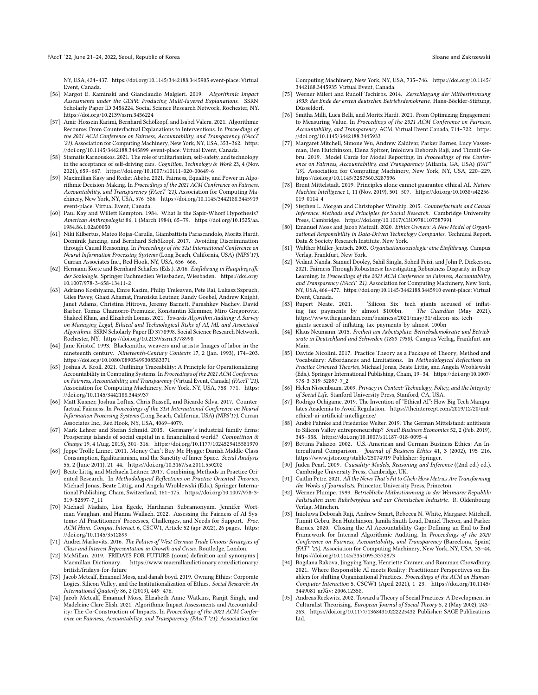NY, USA, 424–437.<https://doi.org/10.1145/3442188.3445905> event-place: Virtual Event, Canada.

- <span id="page-11-11"></span>[56] Margot E. Kaminski and Gianclaudio Malgieri. 2019. Algorithmic Impact Assessments under the GDPR: Producing Multi-layered Explanations. SSRN Scholarly Paper ID 3456224. Social Science Research Network, Rochester, NY. <https://doi.org/10.2139/ssrn.3456224>
- <span id="page-11-4"></span>[57] Amir-Hossein Karimi, Bernhard Schölkopf, and Isabel Valera. 2021. Algorithmic Recourse: From Counterfactual Explanations to Interventions. In Proceedings of the 2021 ACM Conference on Fairness, Accountability, and Transparency (FAccT '21). Association for Computing Machinery, New York, NY, USA, 353–362. [https:](https://doi.org/10.1145/3442188.3445899) [//doi.org/10.1145/3442188.3445899](https://doi.org/10.1145/3442188.3445899) event-place: Virtual Event, Canada.
- <span id="page-11-2"></span>[58] Stamatis Karnouskos. 2021. The role of utilitarianism, self-safety, and technology in the acceptance of self-driving cars. Cognition, Technology & Work 23, 4 (Nov. 2021), 659–667.<https://doi.org/10.1007/s10111-020-00649-6>
- <span id="page-11-13"></span>[59] Maximilian Kasy and Rediet Abebe. 2021. Fairness, Equality, and Power in Algorithmic Decision-Making. In Proceedings of the 2021 ACM Conference on Fairness, Accountability, and Transparency (FAccT '21). Association for Computing Machinery, New York, NY, USA, 576–586.<https://doi.org/10.1145/3442188.3445919> event-place: Virtual Event, Canada.
- <span id="page-11-27"></span>[60] Paul Kay and Willett Kempton. 1984. What Is the Sapir-Whorf Hypothesis? American Anthropologist 86, 1 (March 1984), 65–79. [https://doi.org/10.1525/aa.](https://doi.org/10.1525/aa.1984.86.1.02a00050) [1984.86.1.02a00050](https://doi.org/10.1525/aa.1984.86.1.02a00050)
- <span id="page-11-5"></span>[61] Niki Kilbertus, Mateo Rojas-Carulla, Giambattista Parascandolo, Moritz Hardt, Dominik Janzing, and Bernhard Schölkopf. 2017. Avoiding Discrimination through Causal Reasoning. In Proceedings of the 31st International Conference on Neural Information Processing Systems (Long Beach, California, USA) (NIPS'17). Curran Associates Inc., Red Hook, NY, USA, 656–666.
- <span id="page-11-26"></span>[62] Hermann Korte and Bernhard Schäfers (Eds.). 2016. Einführung in Hauptbegriffe der Soziologie. Springer Fachmedien Wiesbaden, Wiesbaden. [https://doi.org/](https://doi.org/10.1007/978-3-658-13411-2) [10.1007/978-3-658-13411-2](https://doi.org/10.1007/978-3-658-13411-2)
- <span id="page-11-14"></span>[63] Adriano Koshiyama, Emre Kazim, Philip Treleaven, Pete Rai, Lukasz Szpruch, Giles Pavey, Ghazi Ahamat, Franziska Leutner, Randy Goebel, Andrew Knight, Janet Adams, Christina Hitrova, Jeremy Barnett, Parashkev Nachev, David Barber, Tomas Chamorro-Premuzic, Konstantin Klemmer, Miro Gregorovic, Shakeel Khan, and Elizabeth Lomas. 2021. Towards Algorithm Auditing: A Survey on Managing Legal, Ethical and Technological Risks of AI, ML and Associated Algorithms. SSRN Scholarly Paper ID 3778998. Social Science Research Network, Rochester, NY.<https://doi.org/10.2139/ssrn.3778998>
- <span id="page-11-30"></span>[64] Jane Kristof. 1993. Blacksmiths, weavers and artists: Images of labor in the nineteenth century. Nineteenth-Century Contexts 17, 2 (Jan. 1993), 174–203. <https://doi.org/10.1080/08905499308583371>
- <span id="page-11-10"></span>[65] Joshua A. Kroll. 2021. Outlining Traceability: A Principle for Operationalizing Accountability in Computing Systems. In Proceedings of the 2021 ACM Conference on Fairness, Accountability, and Transparency (Virtual Event, Canada) (FAccT '21). Association for Computing Machinery, New York, NY, USA, 758–771. [https:](https://doi.org/10.1145/3442188.3445937) [//doi.org/10.1145/3442188.3445937](https://doi.org/10.1145/3442188.3445937)
- <span id="page-11-6"></span>[66] Matt Kusner, Joshua Loftus, Chris Russell, and Ricardo Silva. 2017. Counterfactual Fairness. In Proceedings of the 31st International Conference on Neural Information Processing Systems (Long Beach, California, USA) (NIPS'17). Curran Associates Inc., Red Hook, NY, USA, 4069–4079.
- <span id="page-11-37"></span>[67] Mark Lehrer and Stefan Schmid. 2015. Germany's industrial family firms: Prospering islands of social capital in a financialized world? Competition & Change 19, 4 (Aug. 2015), 301–316.<https://doi.org/10.1177/1024529415581970>
- <span id="page-11-28"></span>[68] Jeppe Trolle Linnet. 2011. Money Can't Buy Me Hygge: Danish Middle-Class Consumption, Egalitarianism, and the Sanctity of Inner Space. Social Analysis 55, 2 (June 2011), 21–44.<https://doi.org/10.3167/sa.2011.550202>
- <span id="page-11-24"></span>[69] Beate Littig and Michaela Leitner. 2017. Combining Methods in Practice Oriented Research. In Methodological Reflections on Practice Oriented Theories, Michael Jonas, Beate Littig, and Angela Wroblewski (Eds.). Springer International Publishing, Cham, Switzerland, 161–175. [https://doi.org/10.1007/978-3-](https://doi.org/10.1007/978-3-319-52897-7_11) [319-52897-7\\_11](https://doi.org/10.1007/978-3-319-52897-7_11)
- <span id="page-11-18"></span>[70] Michael Madaio, Lisa Egede, Hariharan Subramonyam, Jennifer Wortman Vaughan, and Hanna Wallach. 2022. Assessing the Fairness of AI Systems: AI Practitioners' Processes, Challenges, and Needs for Support. Proc. ACM Hum.-Comput. Interact. 6, CSCW1, Article 52 (apr 2022), 26 pages. [https:](https://doi.org/10.1145/3512899) [//doi.org/10.1145/3512899](https://doi.org/10.1145/3512899)
- <span id="page-11-31"></span>[71] Andrei Markovits. 2016. The Politics of West German Trade Unions: Strategies of Class and Interest Representation in Growth and Crisis. Routledge, London.
- <span id="page-11-38"></span>[72] McMillan. 2019. FRIDAYS FOR FUTURE (noun) definition and synonyms | Macmillan Dictionary. [https://www.macmillandictionary.com/dictionary/](https://www.macmillandictionary.com/dictionary/british/fridays-for-future) [british/fridays-for-future](https://www.macmillandictionary.com/dictionary/british/fridays-for-future)
- <span id="page-11-19"></span>[73] Jacob Metcalf, Emanuel Moss, and danah boyd. 2019. Owning Ethics: Corporate Logics, Silicon Valley, and the Institutionalization of Ethics. Social Research: An International Quaterly 86, 2 (2019), 449–476.
- <span id="page-11-12"></span>[74] Jacob Metcalf, Emanuel Moss, Elizabeth Anne Watkins, Ranjit Singh, and Madeleine Clare Elish. 2021. Algorithmic Impact Assessments and Accountability: The Co-Construction of Impacts. In Proceedings of the 2021 ACM Conference on Fairness, Accountability, and Transparency (FAccT '21). Association for

Computing Machinery, New York, NY, USA, 735–746. [https://doi.org/10.1145/](https://doi.org/10.1145/3442188.3445935) [3442188.3445935](https://doi.org/10.1145/3442188.3445935) Virtual Event, Canada.

- <span id="page-11-34"></span>[75] Werner Milert and Rudolf Tschirbs. 2014. Zerschlagung der Mitbestimmung 1933: das Ende der ersten deutschen Betriebsdemokratie. Hans-Böckler-Stiftung, Düsseldorf.
- <span id="page-11-9"></span>[76] Smitha Milli, Luca Belli, and Moritz Hardt. 2021. From Optimizing Engagement to Measuring Value. In Proceedings of the 2021 ACM Conference on Fairness, Accountability, and Transparency. ACM, Virtual Event Canada, 714–722. [https:](https://doi.org/10.1145/3442188.3445933) [//doi.org/10.1145/3442188.3445933](https://doi.org/10.1145/3442188.3445933)
- <span id="page-11-3"></span>[77] Margaret Mitchell, Simone Wu, Andrew Zaldivar, Parker Barnes, Lucy Vasserman, Ben Hutchinson, Elena Spitzer, Inioluwa Deborah Raji, and Timnit Gebru. 2019. Model Cards for Model Reporting. In Proceedings of the Conference on Fairness, Accountability, and Transparency (Atlanta, GA, USA) (FAT\* '19). Association for Computing Machinery, New York, NY, USA, 220–229. <https://doi.org/10.1145/3287560.3287596>
- <span id="page-11-25"></span>[78] Brent Mittelstadt. 2019. Principles alone cannot guarantee ethical AI. Nature Machine Intelligence 1, 11 (Nov. 2019), 501–507. [https://doi.org/10.1038/s42256-](https://doi.org/10.1038/s42256-019-0114-4) [019-0114-4](https://doi.org/10.1038/s42256-019-0114-4)
- <span id="page-11-7"></span>[79] Stephen L. Morgan and Christopher Winship. 2015. Counterfactuals and Causal Inference: Methods and Principles for Social Research. Cambridge University Press, Cambridge.<https://doi.org/10.1017/CBO9781107587991>
- <span id="page-11-20"></span>[80] Emanuel Moss and Jacob Metcalf. 2020. Ethics Owners: A New Model of Organizational Responsibility in Data-Driven Technology Companies. Technical Report. Data & Society Research Institute, New York.
- <span id="page-11-29"></span>[81] Walther Müller-Jentsch. 2003. Organisationssoziologie: eine Einführung. Campus Verlag, Frankfurt, New York.
- <span id="page-11-0"></span>[82] Vedant Nanda, Samuel Dooley, Sahil Singla, Soheil Feizi, and John P. Dickerson. 2021. Fairness Through Robustness: Investigating Robustness Disparity in Deep Learning. In Proceedings of the 2021 ACM Conference on Fairness, Accountability, and Transparency (FAccT '21). Association for Computing Machinery, New York, NY, USA, 466–477.<https://doi.org/10.1145/3442188.3445910> event-place: Virtual Event, Canada.<br>[83] Rupert Neate. 2021.
- <span id="page-11-39"></span>'Silicon Six' tech giants accused of inflat-<br>Imost \$100bn. The Guardian (May 2021). ing tax payments by almost \$100bn. [https://www.theguardian.com/business/2021/may/31/silicon-six-tech-](https://www.theguardian.com/business/2021/may/31/silicon-six-tech-giants-accused-of-inflating-tax-payments-by-almost-100bn)
- <span id="page-11-32"></span>[giants-accused-of-inflating-tax-payments-by-almost-100bn](https://www.theguardian.com/business/2021/may/31/silicon-six-tech-giants-accused-of-inflating-tax-payments-by-almost-100bn) [84] Klaus Neumann. 2015. Freiheit am Arbeitsplatz: Betriebsdemokratie und Betriebsräte in Deutschland und Schweden (1880-1950). Campus Verlag, Frankfurt am Main.
- <span id="page-11-23"></span>[85] Davide Nicolini. 2017. Practice Theory as a Package of Theory, Method and Vocabulary: Affordances and Limitations. In Methodological Reflections on Practice Oriented Theories, Michael Jonas, Beate Littig, and Angela Wroblewski (Eds.). Springer International Publishing, Cham, 19–34. [https://doi.org/10.1007/](https://doi.org/10.1007/978-3-319-52897-7_2) [978-3-319-52897-7\\_2](https://doi.org/10.1007/978-3-319-52897-7_2)
- <span id="page-11-1"></span>[86] Helen Nissenbaum. 2009. Privacy in Context: Technology, Policy, and the Integrity of Social Life. Stanford University Press, Stanford, CA, USA.
- <span id="page-11-16"></span>[87] Rodrigo Ochigame. 2019. The Invention of "Ethical AI": How Big Tech Manipulates Academia to Avoid Regulation. [https://theintercept.com/2019/12/20/mit](https://theintercept.com/2019/12/20/mit-ethical-ai-artificial-intelligence/)[ethical-ai-artificial-intelligence/](https://theintercept.com/2019/12/20/mit-ethical-ai-artificial-intelligence/)
- <span id="page-11-35"></span>[88] André Pahnke and Friederike Welter. 2019. The German Mittelstand: antithesis to Silicon Valley entrepreneurship? Small Business Economics 52, 2 (Feb. 2019), 345–358.<https://doi.org/10.1007/s11187-018-0095-4>
- <span id="page-11-36"></span>[89] Bettina Palazzo. 2002. U.S.-American and German Business Ethics: An Intercultural Comparison. Journal of Business Ethics 41, 3 (2002), 195–216. <https://www.jstor.org/stable/25074919> Publisher: Springer.
- <span id="page-11-8"></span>[90] Judea Pearl. 2009. Causality: Models, Reasoning and Inference ((2nd ed.) ed.). Cambridge University Press, Cambridge, UK.
- <span id="page-11-22"></span>[91] Caitlin Petre. 2021. All the News That's Fit to Click: How Metrics Are Transforming the Works of Journalists. Princeton University Press, Princeton.
- <span id="page-11-33"></span>[92] Werner Plumpe. 1999. Betriebliche Mitbestimmung in der Weimarer Republik: Fallstudien zum Ruhrbergbau und zur Chemischen Industrie. R. Oldenbourg Verlag, München.
- <span id="page-11-15"></span>[93] Inioluwa Deborah Raji, Andrew Smart, Rebecca N. White, Margaret Mitchell, Timnit Gebru, Ben Hutchinson, Jamila Smith-Loud, Daniel Theron, and Parker Barnes. 2020. Closing the AI Accountability Gap: Defining an End-to-End Framework for Internal Algorithmic Auditing. In Proceedings of the 2020 Conference on Fairness, Accountability, and Transparency (Barcelona, Spain) (FAT\* '20). Association for Computing Machinery, New York, NY, USA, 33–44. <https://doi.org/10.1145/3351095.3372873>
- <span id="page-11-17"></span>[94] Bogdana Rakova, Jingying Yang, Henriette Cramer, and Rumman Chowdhury. 2021. Where Responsible AI meets Reality: Practitioner Perspectives on Enablers for shifting Organizational Practices. Proceedings of the ACM on Human-Computer Interaction 5, CSCW1 (April 2021), 1–23. [https://doi.org/10.1145/](https://doi.org/10.1145/3449081) [3449081](https://doi.org/10.1145/3449081) arXiv: 2006.12358.
- <span id="page-11-21"></span>[95] Andreas Reckwitz. 2002. Toward a Theory of Social Practices: A Development in Culturalist Theorizing. European Journal of Social Theory 5, 2 (May 2002), 243– 263.<https://doi.org/10.1177/13684310222225432> Publisher: SAGE Publications Ltd.